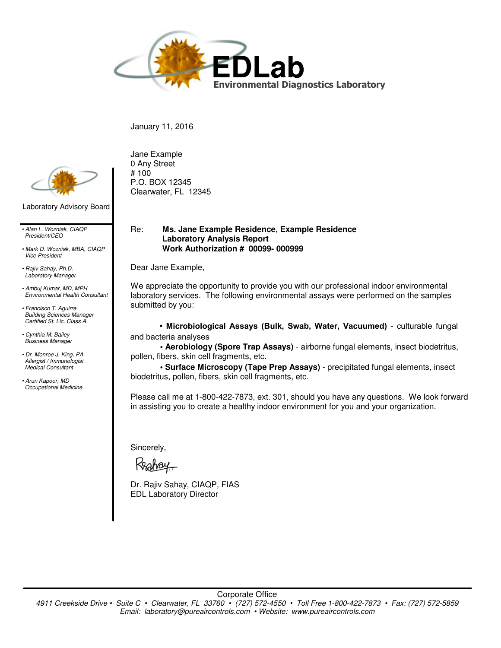

January 11, 2016



Laboratory Advisory Board

*• Alan L. Wozniak, CIAQP President/CEO*

*• Mark D. Wozniak, MBA, CIAQP Vice President*

*• Rajiv Sahay, Ph.D. Laboratory Manager*

*• Ambuj Kumar, MD, MPH Environmental Health Consultant*

*• Francisco T. Aguirre Building Sciences Manager Certified St. Lic. Class A*

*• Cynthia M. Bailey Business Manager*

*• Dr. Monroe J. King, PA Allergist / Immunologist Medical Consultant*

*• Arun Kapoor, MD Occupational Medicine* Jane Example 0 Any Street # 100 P.O. BOX 12345 Clearwater, FL 12345

### Re: **Ms. Jane Example Residence, Example Residence Laboratory Analysis Report Work Authorization # 00099- 000999**

Dear Jane Example,

We appreciate the opportunity to provide you with our professional indoor environmental laboratory services. The following environmental assays were performed on the samples submitted by you:

**• Microbiological Assays (Bulk, Swab, Water, Vacuumed)** - culturable fungal and bacteria analyses

**• Aerobiology (Spore Trap Assays)** - airborne fungal elements, insect biodetritus, pollen, fibers, skin cell fragments, etc.

**• Surface Microscopy (Tape Prep Assays)** - precipitated fungal elements, insect biodetritus, pollen, fibers, skin cell fragments, etc.

Please call me at 1-800-422-7873, ext. 301, should you have any questions. We look forward in assisting you to create a healthy indoor environment for you and your organization.

Sincerely,

Dr. Rajiv Sahay, CIAQP, FIAS EDL Laboratory Director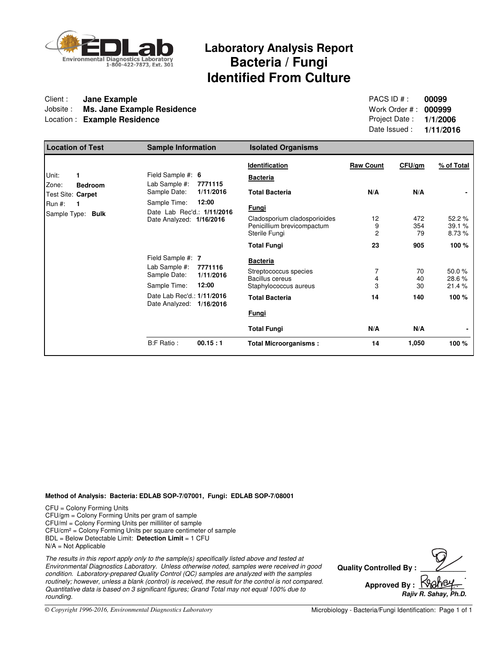

## **Laboratory Analysis Report Bacteria / Fungi Identified From Culture**

### Client : **Client : Jane Example**<br>
Jobsite : **Ms. Jane Example Residence**<br>
Jobsite : **Ms. Jane Example Residence**<br> **PACS ID # : 000999** Jobsite : **Ms. Jane Example Residence** Location : **Example Residence Project Date : 1/1/2006**

Date Issued : **1/11/2016**

| <b>Location of Test</b>                                            | <b>Sample Information</b>                                                   |                               | <b>Isolated Organisms</b>                                                            |                           |                  |                         |
|--------------------------------------------------------------------|-----------------------------------------------------------------------------|-------------------------------|--------------------------------------------------------------------------------------|---------------------------|------------------|-------------------------|
| Unit:                                                              | Field Sample #: 6                                                           | 7771115                       | Identification<br><b>Bacteria</b>                                                    | <b>Raw Count</b>          | CFU/gm           | % of Total              |
| Zone:<br><b>Bedroom</b><br>Test Site: Carpet<br><b>Run #:</b><br>1 | Lab Sample #:<br>Sample Date:<br>Sample Time:<br>Date Lab Rec'd.: 1/11/2016 | 1/11/2016<br>12:00            | <b>Total Bacteria</b><br><u>Fungi</u>                                                | N/A                       | N/A              |                         |
| Sample Type: Bulk                                                  | Date Analyzed: 1/16/2016                                                    |                               | Cladosporium cladosporioides<br>Penicillium brevicompactum<br>Sterile Fungi          | 12<br>9<br>$\overline{2}$ | 472<br>354<br>79 | 52.2%<br>39.1%<br>8.73% |
|                                                                    |                                                                             |                               | <b>Total Fungi</b>                                                                   | 23                        | 905              | 100 %                   |
|                                                                    | Field Sample #: 7<br>Lab Sample #:<br>Sample Date:<br>Sample Time:          | 7771116<br>1/11/2016<br>12:00 | <b>Bacteria</b><br>Streptococcus species<br>Bacillus cereus<br>Staphylococcus aureus | 7<br>4<br>3               | 70<br>40<br>30   | 50.0%<br>28.6%<br>21.4% |
|                                                                    | Date Lab Rec'd.: 1/11/2016<br>Date Analyzed: 1/16/2016                      |                               | <b>Total Bacteria</b><br>Fungi                                                       | 14                        | 140              | 100 %                   |
|                                                                    |                                                                             |                               | <b>Total Fungi</b>                                                                   | N/A                       | N/A              |                         |
|                                                                    | B:F Ratio:                                                                  | 00.15:1                       | <b>Total Microorganisms:</b>                                                         | 14                        | 1,050            | 100 %                   |

### **Method of Analysis: Bacteria: EDLAB SOP-7/07001, Fungi: EDLAB SOP-7/08001**

CFU = Colony Forming Units CFU/gm = Colony Forming Units per gram of sample CFU/ml = Colony Forming Units per milliliter of sample CFU/cm² = Colony Forming Units per square centimeter of sample BDL = Below Detectable Limit: **Detection Limit** = 1 CFU  $N/A = Not Appliedble$ 

The results in this report apply only to the sample(s) specifically listed above and tested at Environmental Diagnostics Laboratory. Unless otherwise noted, samples were received in good condition. Laboratory-prepared Quality Control (QC) samples are analyzed with the samples routinely; however, unless a blank (control) is received, the result for the control is not compared. Quantitative data is based on 3 significant figures; Grand Total may not equal 100% due to rounding.

**Quality Controlled By Approved By . Rajiv R. Sahay,** 

*© Copyright 1996-2016, Environmental Diagnostics Laboratory*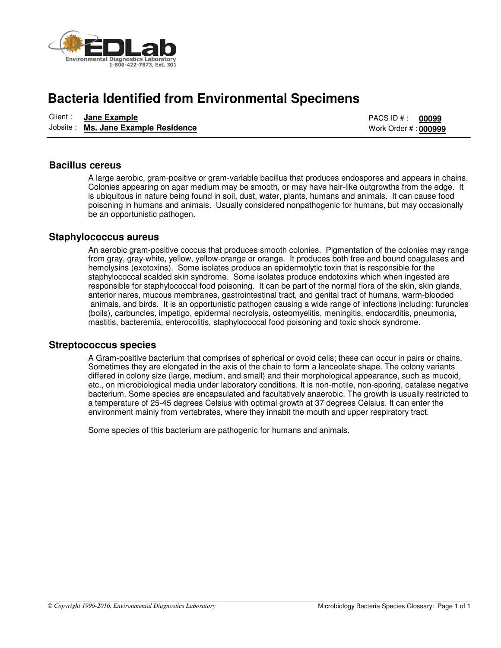

## **Bacteria Identified from Environmental Specimens**

| Client : | Jane Example                        | PACS ID # :                  | 00099 |
|----------|-------------------------------------|------------------------------|-------|
|          | Jobsite: Ms. Jane Example Residence | Work Order # : <b>000999</b> |       |

### **Bacillus cereus**

A large aerobic, gram-positive or gram-variable bacillus that produces endospores and appears in chains. Colonies appearing on agar medium may be smooth, or may have hair-like outgrowths from the edge. It is ubiquitous in nature being found in soil, dust, water, plants, humans and animals. It can cause food poisoning in humans and animals. Usually considered nonpathogenic for humans, but may occasionally be an opportunistic pathogen.

### **Staphylococcus aureus**

An aerobic gram-positive coccus that produces smooth colonies. Pigmentation of the colonies may range from gray, gray-white, yellow, yellow-orange or orange. It produces both free and bound coagulases and hemolysins (exotoxins). Some isolates produce an epidermolytic toxin that is responsible for the staphylococcal scalded skin syndrome. Some isolates produce endotoxins which when ingested are responsible for staphylococcal food poisoning. It can be part of the normal flora of the skin, skin glands, anterior nares, mucous membranes, gastrointestinal tract, and genital tract of humans, warm-blooded animals, and birds. It is an opportunistic pathogen causing a wide range of infections including: furuncles (boils), carbuncles, impetigo, epidermal necrolysis, osteomyelitis, meningitis, endocarditis, pneumonia, mastitis, bacteremia, enterocolitis, staphylococcal food poisoning and toxic shock syndrome.

### **Streptococcus species**

A Gram-positive bacterium that comprises of spherical or ovoid cells; these can occur in pairs or chains. Sometimes they are elongated in the axis of the chain to form a lanceolate shape. The colony variants differed in colony size (large, medium, and small) and their morphological appearance, such as mucoid, etc., on microbiological media under laboratory conditions. It is non-motile, non-sporing, catalase negative bacterium. Some species are encapsulated and facultatively anaerobic. The growth is usually restricted to a temperature of 25-45 degrees Celsius with optimal growth at 37 degrees Celsius. It can enter the environment mainly from vertebrates, where they inhabit the mouth and upper respiratory tract.

Some species of this bacterium are pathogenic for humans and animals.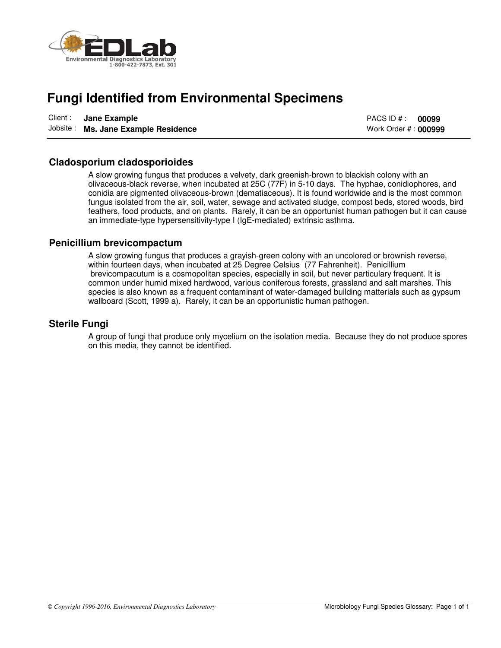

## **Fungi Identified from Environmental Specimens**

| Client: Jane Example                | PACS ID # :           | 00099 |
|-------------------------------------|-----------------------|-------|
| Jobsite: Ms. Jane Example Residence | Work Order # : 000999 |       |

### **Cladosporium cladosporioides**

A slow growing fungus that produces a velvety, dark greenish-brown to blackish colony with an olivaceous-black reverse, when incubated at 25C (77F) in 5-10 days. The hyphae, conidiophores, and conidia are pigmented olivaceous-brown (dematiaceous). It is found worldwide and is the most common fungus isolated from the air, soil, water, sewage and activated sludge, compost beds, stored woods, bird feathers, food products, and on plants. Rarely, it can be an opportunist human pathogen but it can cause an immediate-type hypersensitivity-type I (IgE-mediated) extrinsic asthma.

### **Penicillium brevicompactum**

A slow growing fungus that produces a grayish-green colony with an uncolored or brownish reverse, within fourteen days, when incubated at 25 Degree Celsius (77 Fahrenheit). Penicillium brevicompacutum is a cosmopolitan species, especially in soil, but never particulary frequent. It is common under humid mixed hardwood, various coniferous forests, grassland and salt marshes. This species is also known as a frequent contaminant of water-damaged building matterials such as gypsum wallboard (Scott, 1999 a). Rarely, it can be an opportunistic human pathogen.

### **Sterile Fungi**

A group of fungi that produce only mycelium on the isolation media. Because they do not produce spores on this media, they cannot be identified.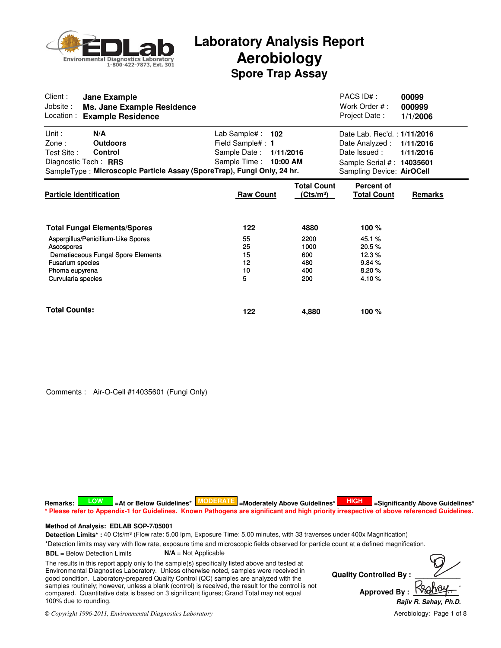

| Client:<br>Jane Example<br>Jobsite:<br>Ms. Jane Example Residence<br>Location :<br><b>Example Residence</b>                                                                |                                                                                                   |                                             | PACS ID#:<br>Work Order #:<br>Project Date:                                                                              | 00099<br>000999<br>1/1/2006 |
|----------------------------------------------------------------------------------------------------------------------------------------------------------------------------|---------------------------------------------------------------------------------------------------|---------------------------------------------|--------------------------------------------------------------------------------------------------------------------------|-----------------------------|
| Unit:<br>N/A<br>Zone:<br><b>Outdoors</b><br>Test Site:<br><b>Control</b><br>Diagnostic Tech: RRS<br>SampleType: Microscopic Particle Assay (SporeTrap), Fungi Only, 24 hr. | Lab Sample# :<br>102<br>Field Sample#: 1<br>Sample Date:<br>1/11/2016<br>Sample Time:<br>10:00 AM |                                             | Date Lab. Rec'd.: 1/11/2016<br>Date Analyzed :<br>Date Issued:<br>Sample Serial #: 14035601<br>Sampling Device: AirOCell | 1/11/2016<br>1/11/2016      |
| <b>Particle Identification</b>                                                                                                                                             | <b>Raw Count</b>                                                                                  | <b>Total Count</b><br>(Cts/m <sup>3</sup> ) | Percent of<br><b>Total Count</b>                                                                                         | Remarks                     |
| <b>Total Fungal Elements/Spores</b><br>Aspergillus/Penicillium-Like Spores                                                                                                 | 122<br>55                                                                                         | 4880<br>2200                                | 100 %<br>45.1%                                                                                                           |                             |
| Ascospores<br>Dematiaceous Fungal Spore Elements<br>Fusarium species<br>Phoma eupyrena<br>Curvularia species                                                               | 25<br>15<br>12<br>10<br>5                                                                         | 1000<br>600<br>480<br>400<br>200            | 20.5%<br>12.3%<br>9.84%<br>8.20%<br>4.10%                                                                                |                             |
| <b>Total Counts:</b>                                                                                                                                                       | 122                                                                                               | 4,880                                       | 100 $%$                                                                                                                  |                             |

Comments : Air-O-Cell #14035601 (Fungi Only)

Detection Limits\* : 40 Cts/m<sup>3</sup> (Flow rate: 5.00 lpm, Exposure Time: 5.00 minutes, with 33 traverses under 400x Magnification) **Method of Analysis: EDLAB SOP-7/05001**  $R$ emarks: **A LOW S**  $=$  At or Below Guidelines\* **MODERATE** =Moderately Above Guidelines\* **HIGH S** =Significantly Above Guidelines\* **\* Please refer to Appendix-1 for Guidelines. Known Pathogens are significant and high priority irrespective of above referenced Guidelines.**

\*Detection limits may vary with flow rate, exposure time and microscopic fields observed for particle count at a defined magnification.

**BDL** = Below Detection Limits **N/A** = Not Applicable

The results in this report apply only to the sample(s) specifically listed above and tested at Environmental Diagnostics Laboratory. Unless otherwise noted, samples were received in good condition. Laboratory-prepared Quality Control (QC) samples are analyzed with the samples routinely; however, unless a blank (control) is received, the result for the control is not compared. Quantitative data is based on 3 significant figures; Grand Total may not equal 100% due to rounding.

**Quality Controlled By:** Approved By : **Rajiv R. Sahay, Ph.D. .**

*© Copyright 1996-2011, Environmental Diagnostics Laboratory*

Aerobiology: Page 1 of 8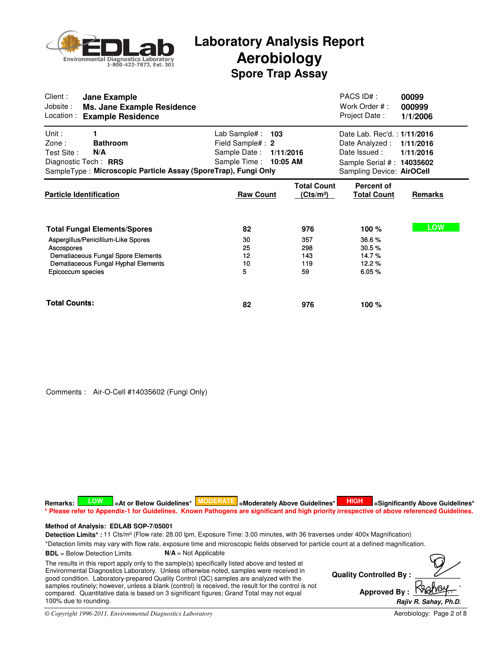

| Client:<br>Jane Example<br>Jobsite:<br><b>Ms. Jane Example Residence</b><br>Location:<br><b>Example Residence</b>                                                                          |                                                                                              |                                             | PACS ID# :<br>Work Order #:<br>Project Date:                                                                             | 00099<br>000999<br>1/1/2006 |
|--------------------------------------------------------------------------------------------------------------------------------------------------------------------------------------------|----------------------------------------------------------------------------------------------|---------------------------------------------|--------------------------------------------------------------------------------------------------------------------------|-----------------------------|
| Unit:<br>1<br>$\mathsf{Zone}$ :<br><b>Bathroom</b><br>Test Site:<br>N/A<br>Diagnostic Tech: RRS<br>SampleType: Microscopic Particle Assay (SporeTrap), Fungi Only                          | Lab Sample# :<br>103<br>Field Sample# : 2<br>Sample Date: 1/11/2016<br>Sample Time: 10:05 AM |                                             | Date Lab. Rec'd.: 1/11/2016<br>Date Analyzed :<br>Date Issued:<br>Sample Serial #: 14035602<br>Sampling Device: AirOCell | 1/11/2016<br>1/11/2016      |
| <b>Particle Identification</b>                                                                                                                                                             | <b>Raw Count</b>                                                                             | <b>Total Count</b><br>(Cts/m <sup>3</sup> ) | <b>Percent of</b><br><b>Total Count</b>                                                                                  | Remarks                     |
| <b>Total Fungal Elements/Spores</b><br>Aspergillus/Penicillium-Like Spores<br>Ascospores<br>Dematiaceous Fungal Spore Elements<br>Dematiaceous Fungal Hyphal Elements<br>Epicoccum species | 82<br>30<br>25<br>12<br>10<br>5                                                              | 976<br>357<br>298<br>143<br>119<br>59       | 100%<br>36.6%<br>30.5%<br>14.7%<br>12.2%<br>6.05%                                                                        | <b>LOW</b>                  |
| <b>Total Counts:</b>                                                                                                                                                                       | 82                                                                                           | 976                                         | 100 %                                                                                                                    |                             |

Comments : Air-O-Cell #14035602 (Fungi Only)

**Quality Controlled By:** Approved By : Detection Limits\* : 11 Cts/m<sup>3</sup> (Flow rate: 28.00 lpm, Exposure Time: 3.00 minutes, with 36 traverses under 400x Magnification) \*Detection limits may vary with flow rate, exposure time and microscopic fields observed for particle count at a defined magnification. **BDL** = Below Detection Limits **N/A** = Not Applicable **Method of Analysis: EDLAB SOP-7/05001 Rajiv R. Sahay, Ph.D. .** The results in this report apply only to the sample(s) specifically listed above and tested at Environmental Diagnostics Laboratory. Unless otherwise noted, samples were received in good condition. Laboratory-prepared Quality Control (QC) samples are analyzed with the samples routinely; however, unless a blank (control) is received, the result for the control is not compared. Quantitative data is based on 3 significant figures; Grand Total may not equal 100% due to rounding.  $R$ emarks: **A LOW S**  $=$  At or Below Guidelines\* **MODERATE** =Moderately Above Guidelines\* **HIGH S** =Significantly Above Guidelines\* **\* Please refer to Appendix-1 for Guidelines. Known Pathogens are significant and high priority irrespective of above referenced Guidelines.**

*© Copyright 1996-2011, Environmental Diagnostics Laboratory*

Aerobiology: Page 2 of 8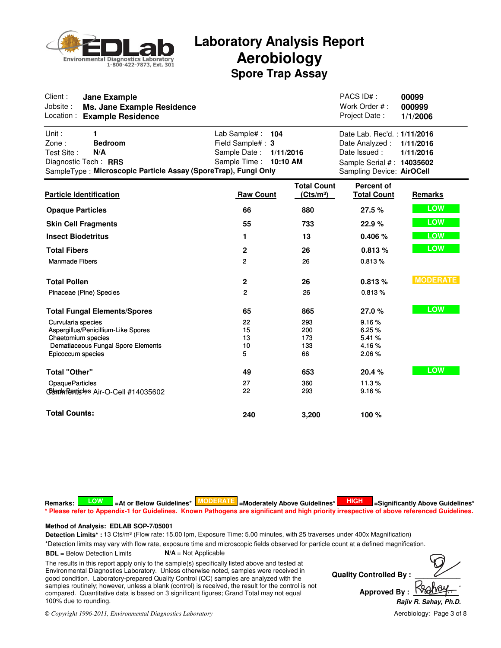

| Client:<br><b>Jane Example</b><br>Jobsite:<br><b>Ms. Jane Example Residence</b><br>Location:<br><b>Example Residence</b>                             |                                                                                   |                                             | PACS ID#:<br>Work Order #:<br>Project Date:                                                                              | 00099<br>000999<br>1/1/2006 |
|------------------------------------------------------------------------------------------------------------------------------------------------------|-----------------------------------------------------------------------------------|---------------------------------------------|--------------------------------------------------------------------------------------------------------------------------|-----------------------------|
| Unit:<br>1<br>Zone:<br><b>Bedroom</b><br>Test Site:<br>N/A<br>Diagnostic Tech: RRS<br>SampleType: Microscopic Particle Assay (SporeTrap), Fungi Only | Lab Sample# :<br>104<br>Field Sample#: 3<br>Sample Date:<br>Sample Time: 10:10 AM | 1/11/2016                                   | Date Lab. Rec'd.: 1/11/2016<br>Date Analyzed :<br>Date Issued:<br>Sample Serial #: 14035602<br>Sampling Device: AirOCell | 1/11/2016<br>1/11/2016      |
| <b>Particle Identification</b>                                                                                                                       | <b>Raw Count</b>                                                                  | <b>Total Count</b><br>(Cts/m <sup>3</sup> ) | <b>Percent of</b><br><b>Total Count</b>                                                                                  | Remarks                     |
| <b>Opaque Particles</b>                                                                                                                              | 66                                                                                | 880                                         | 27.5 %                                                                                                                   | <b>LOW</b>                  |
| <b>Skin Cell Fragments</b>                                                                                                                           | 55                                                                                | 733                                         | 22.9%                                                                                                                    | <b>LOW</b>                  |
| <b>Insect Biodetritus</b>                                                                                                                            | 1                                                                                 | 13                                          | 0.406%                                                                                                                   | <b>LOW</b>                  |
| <b>Total Fibers</b>                                                                                                                                  | $\mathbf{2}$                                                                      | 26                                          | 0.813%                                                                                                                   | <b>LOW</b>                  |
| <b>Manmade Fibers</b>                                                                                                                                | 2                                                                                 | 26                                          | 0.813%                                                                                                                   |                             |
| <b>Total Pollen</b>                                                                                                                                  | $\mathbf{2}$                                                                      | 26                                          | 0.813%                                                                                                                   | <b>MODERATE</b>             |
| Pinaceae (Pine) Species                                                                                                                              | $\overline{c}$                                                                    | 26                                          | 0.813%                                                                                                                   |                             |
| <b>Total Fungal Elements/Spores</b>                                                                                                                  | 65                                                                                | 865                                         | 27.0%                                                                                                                    | <b>LOW</b>                  |
| Curvularia species<br>Aspergillus/Penicillium-Like Spores<br>Chaetomium species<br>Dematiaceous Fungal Spore Elements<br>Epicoccum species           | 22<br>15<br>13<br>10<br>5                                                         | 293<br>200<br>173<br>133<br>66              | 9.16%<br>6.25%<br>5.41 %<br>4.16%<br>2.06%                                                                               |                             |
| <b>Total "Other"</b>                                                                                                                                 | 49                                                                                | 653                                         | 20.4 %                                                                                                                   | <b>LOW</b>                  |
| <b>OpaqueParticles</b><br>Completenticles Air-O-Cell #14035602                                                                                       | 27<br>22                                                                          | 360<br>293                                  | 11.3%<br>9.16%                                                                                                           |                             |
| <b>Total Counts:</b>                                                                                                                                 | 240                                                                               | 3.200                                       | 100 %                                                                                                                    |                             |

 $R$ emarks: **A LOW S**  $=$  At or Below Guidelines\* **MODERATE** =Moderately Above Guidelines\* **HIGH S** =Significantly Above Guidelines\* **\* Please refer to Appendix-1 for Guidelines. Known Pathogens are significant and high priority irrespective of above referenced Guidelines.**

### **Method of Analysis: EDLAB SOP-7/05001**

Detection Limits\* : 13 Cts/m<sup>3</sup> (Flow rate: 15.00 lpm, Exposure Time: 5.00 minutes, with 25 traverses under 400x Magnification)

\*Detection limits may vary with flow rate, exposure time and microscopic fields observed for particle count at a defined magnification.

**BDL** = Below Detection Limits **N/A** = Not Applicable

The results in this report apply only to the sample(s) specifically listed above and tested at Environmental Diagnostics Laboratory. Unless otherwise noted, samples were received in good condition. Laboratory-prepared Quality Control (QC) samples are analyzed with the samples routinely; however, unless a blank (control) is received, the result for the control is not compared. Quantitative data is based on 3 significant figures; Grand Total may not equal 100% due to rounding.

**Quality Controlled By: Approved By: Rajiv R. Sahay, Ph.D. .**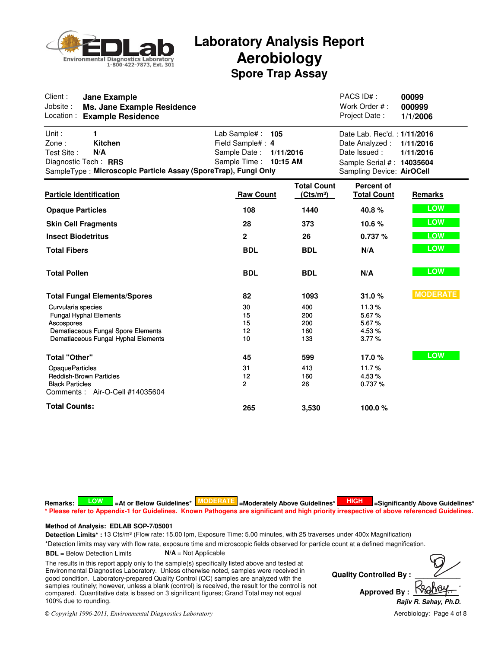

| Client:<br><b>Jane Example</b><br>Jobsite:<br>Ms. Jane Example Residence<br>Location:<br><b>Example Residence</b>                                    |                                                                                            |                                             | PACS ID#:<br>Work Order #:<br>Project Date:                                                                                       | 00099<br>000999<br>1/1/2006 |
|------------------------------------------------------------------------------------------------------------------------------------------------------|--------------------------------------------------------------------------------------------|---------------------------------------------|-----------------------------------------------------------------------------------------------------------------------------------|-----------------------------|
| Unit:<br>1<br>Zone:<br><b>Kitchen</b><br>N/A<br>Test Site:<br>Diagnostic Tech: RRS<br>SampleType: Microscopic Particle Assay (SporeTrap), Fungi Only | Lab Sample#: 105<br>Field Sample#: 4<br>Sample Date:<br>1/11/2016<br>Sample Time: 10:15 AM |                                             | Date Lab. Rec'd.: 1/11/2016<br>Date Analyzed: 1/11/2016<br>Date Issued:<br>Sample Serial #: 14035604<br>Sampling Device: AirOCell | 1/11/2016                   |
| <b>Particle Identification</b>                                                                                                                       | <b>Raw Count</b>                                                                           | <b>Total Count</b><br>(Cts/m <sup>3</sup> ) | <b>Percent of</b><br><b>Total Count</b>                                                                                           | Remarks                     |
| <b>Opaque Particles</b>                                                                                                                              | 108                                                                                        | 1440                                        | 40.8%                                                                                                                             | <b>LOW</b>                  |
| <b>Skin Cell Fragments</b>                                                                                                                           | 28                                                                                         | 373                                         | 10.6 %                                                                                                                            | <b>LOW</b>                  |
| <b>Insect Biodetritus</b>                                                                                                                            | $\overline{2}$                                                                             | 26                                          | 0.737%                                                                                                                            | LOW                         |
| <b>Total Fibers</b>                                                                                                                                  | <b>BDL</b>                                                                                 | <b>BDL</b>                                  | N/A                                                                                                                               | LOW                         |
| <b>Total Pollen</b>                                                                                                                                  | <b>BDL</b>                                                                                 | <b>BDL</b>                                  | N/A                                                                                                                               | <b>LOW</b>                  |
| <b>Total Fungal Elements/Spores</b>                                                                                                                  | 82                                                                                         | 1093                                        | 31.0%                                                                                                                             | <b>MODERATE</b>             |
| Curvularia species                                                                                                                                   | 30                                                                                         | 400                                         | 11.3%                                                                                                                             |                             |
| <b>Fungal Hyphal Elements</b>                                                                                                                        | 15<br>15                                                                                   | 200<br>200                                  | 5.67%<br>5.67%                                                                                                                    |                             |
| Ascospores<br>Dematiaceous Fungal Spore Elements                                                                                                     | 12                                                                                         | 160                                         | 4.53%                                                                                                                             |                             |
| Dematiaceous Fungal Hyphal Elements                                                                                                                  | 10                                                                                         | 133                                         | 3.77%                                                                                                                             |                             |
| <b>Total "Other"</b>                                                                                                                                 | 45                                                                                         | 599                                         | 17.0%                                                                                                                             | <b>LOW</b>                  |
| <b>OpaqueParticles</b>                                                                                                                               | 31                                                                                         | 413                                         | 11.7%                                                                                                                             |                             |
| <b>Reddish-Brown Particles</b>                                                                                                                       | 12                                                                                         | 160                                         | 4.53%                                                                                                                             |                             |
| <b>Black Particles</b><br>Comments: Air-O-Cell #14035604                                                                                             | $\overline{2}$                                                                             | 26                                          | 0.737%                                                                                                                            |                             |
| <b>Total Counts:</b>                                                                                                                                 | 265                                                                                        | 3.530                                       | 100.0%                                                                                                                            |                             |

 $R$ emarks: **A LOW S**  $=$  At or Below Guidelines\* **MODERATE** =Moderately Above Guidelines\* **HIGH S** =Significantly Above Guidelines\* **\* Please refer to Appendix-1 for Guidelines. Known Pathogens are significant and high priority irrespective of above referenced Guidelines.**

### **Method of Analysis: EDLAB SOP-7/05001**

Detection Limits\* : 13 Cts/m<sup>3</sup> (Flow rate: 15.00 lpm, Exposure Time: 5.00 minutes, with 25 traverses under 400x Magnification)

\*Detection limits may vary with flow rate, exposure time and microscopic fields observed for particle count at a defined magnification.

**BDL** = Below Detection Limits **N/A** = Not Applicable

The results in this report apply only to the sample(s) specifically listed above and tested at Environmental Diagnostics Laboratory. Unless otherwise noted, samples were received in good condition. Laboratory-prepared Quality Control (QC) samples are analyzed with the samples routinely; however, unless a blank (control) is received, the result for the control is not compared. Quantitative data is based on 3 significant figures; Grand Total may not equal 100% due to rounding.

**Quality Controlled By: Approved By: Rajiv R. Sahay, Ph.D. .**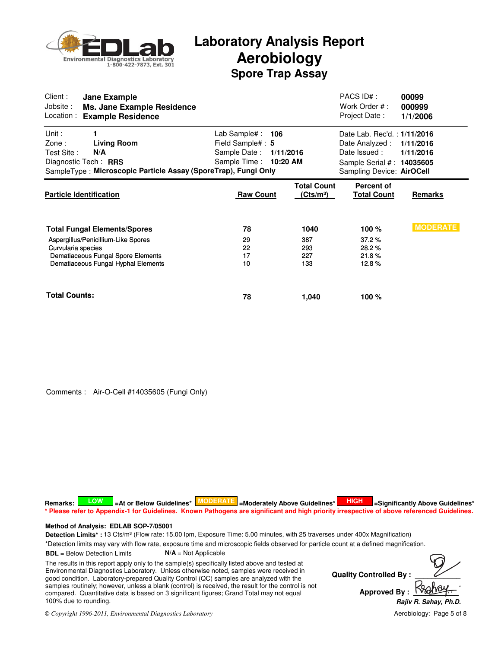

| Client:<br>Jobsite:<br>Location:         | Jane Example<br>Ms. Jane Example Residence<br><b>Example Residence</b>                                                                                  |                                                                                                 |                                             | PACS ID#:<br>Work Order #:<br>Project Date:                                                                               | 00099<br>000999<br>1/1/2006 |
|------------------------------------------|---------------------------------------------------------------------------------------------------------------------------------------------------------|-------------------------------------------------------------------------------------------------|---------------------------------------------|---------------------------------------------------------------------------------------------------------------------------|-----------------------------|
| Unit:<br>$\mathsf{Zone}$ :<br>Test Site: | 1<br><b>Living Room</b><br>N/A<br>Diagnostic Tech: RRS<br>SampleType: Microscopic Particle Assay (SporeTrap), Fungi Only                                | Lab Sample# :<br>106<br>Field Sample# : 5<br>Sample Date:<br>1/11/2016<br>Sample Time: 10:20 AM |                                             | Date Lab. Rec'd.: 1/11/2016<br>Date Analyzed :<br>Date Issued :<br>Sample Serial #: 14035605<br>Sampling Device: AirOCell | 1/11/2016<br>1/11/2016      |
|                                          | <b>Particle Identification</b>                                                                                                                          | <b>Raw Count</b>                                                                                | <b>Total Count</b><br>(Cts/m <sup>3</sup> ) | <b>Percent of</b><br>Total Count                                                                                          | Remarks                     |
| Curvularia species                       | <b>Total Fungal Elements/Spores</b><br>Aspergillus/Penicillium-Like Spores<br>Dematiaceous Fungal Spore Elements<br>Dematiaceous Fungal Hyphal Elements | 78<br>29<br>22<br>17<br>10                                                                      | 1040<br>387<br>293<br>227<br>133            | 100 %<br>37.2%<br>28.2%<br>21.8%<br>12.8%                                                                                 | <b>MODERATE</b>             |
| <b>Total Counts:</b>                     |                                                                                                                                                         | 78                                                                                              | 1,040                                       | 100 %                                                                                                                     |                             |

Comments : Air-O-Cell #14035605 (Fungi Only)

**Quality Controlled By:** Approved By : Detection Limits\* : 13 Cts/m<sup>3</sup> (Flow rate: 15.00 lpm, Exposure Time: 5.00 minutes, with 25 traverses under 400x Magnification) \*Detection limits may vary with flow rate, exposure time and microscopic fields observed for particle count at a defined magnification. **BDL** = Below Detection Limits **N/A** = Not Applicable **Method of Analysis: EDLAB SOP-7/05001 Rajiv R. Sahay, Ph.D. .** The results in this report apply only to the sample(s) specifically listed above and tested at Environmental Diagnostics Laboratory. Unless otherwise noted, samples were received in good condition. Laboratory-prepared Quality Control (QC) samples are analyzed with the samples routinely; however, unless a blank (control) is received, the result for the control is not compared. Quantitative data is based on 3 significant figures; Grand Total may not equal 100% due to rounding.  $R$ emarks: **A LOW S**  $=$  At or Below Guidelines\* **MODERATE** =Moderately Above Guidelines\* **HIGH S** =Significantly Above Guidelines\* **\* Please refer to Appendix-1 for Guidelines. Known Pathogens are significant and high priority irrespective of above referenced Guidelines.**

*© Copyright 1996-2011, Environmental Diagnostics Laboratory*

Aerobiology: Page 5 of 8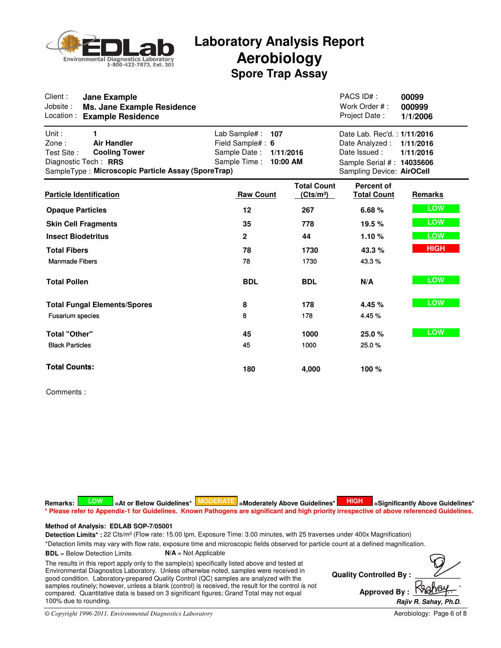

| Client:<br><b>Jane Example</b><br>Jobsite:<br><b>Ms. Jane Example Residence</b><br>Location:<br><b>Example Residence</b>                                      |                                                                                                  |                                             | PACS ID#:<br>Work Order #:<br>Project Date:                                                                              | 00099<br>000999<br>1/1/2006 |
|---------------------------------------------------------------------------------------------------------------------------------------------------------------|--------------------------------------------------------------------------------------------------|---------------------------------------------|--------------------------------------------------------------------------------------------------------------------------|-----------------------------|
| Unit:<br>1<br>Zone:<br><b>Air Handler</b><br>Test Site:<br><b>Cooling Tower</b><br>Diagnostic Tech: RRS<br>SampleType: Microscopic Particle Assay (SporeTrap) | Lab Sample#:<br>107<br>Field Sample#: 6<br>Sample Date:<br>1/11/2016<br>Sample Time:<br>10:00 AM |                                             | Date Lab. Rec'd.: 1/11/2016<br>Date Analyzed :<br>Date Issued:<br>Sample Serial #: 14035606<br>Sampling Device: AirOCell | 1/11/2016<br>1/11/2016      |
| <b>Particle Identification</b>                                                                                                                                | <b>Raw Count</b>                                                                                 | <b>Total Count</b><br>(Cts/m <sup>3</sup> ) | <b>Percent of</b><br><b>Total Count</b>                                                                                  | Remarks                     |
| <b>Opaque Particles</b>                                                                                                                                       | 12                                                                                               | 267                                         | 6.68%                                                                                                                    | <b>LOW</b>                  |
| <b>Skin Cell Fragments</b>                                                                                                                                    | 35                                                                                               | 778                                         | 19.5 %                                                                                                                   | <b>LOW</b>                  |
| <b>Insect Biodetritus</b>                                                                                                                                     | $\mathbf{2}$                                                                                     | 44                                          | 1.10%                                                                                                                    | LOW                         |
| <b>Total Fibers</b>                                                                                                                                           | 78                                                                                               | 1730                                        | 43.3%                                                                                                                    | <b>HIGH</b>                 |
| <b>Manmade Fibers</b>                                                                                                                                         | 78                                                                                               | 1730                                        | 43.3%                                                                                                                    |                             |
| <b>Total Pollen</b>                                                                                                                                           | <b>BDL</b>                                                                                       | <b>BDL</b>                                  | N/A                                                                                                                      | <b>LOW</b>                  |
| <b>Total Fungal Elements/Spores</b>                                                                                                                           | 8                                                                                                | 178                                         | 4.45 %                                                                                                                   | <b>LOW</b>                  |
| <b>Fusarium</b> species                                                                                                                                       | 8                                                                                                | 178                                         | 4.45 %                                                                                                                   |                             |
| <b>Total "Other"</b>                                                                                                                                          | 45                                                                                               | 1000                                        | 25.0%                                                                                                                    | <b>LOW</b>                  |
| <b>Black Particles</b>                                                                                                                                        | 45                                                                                               | 1000                                        | 25.0%                                                                                                                    |                             |
| <b>Total Counts:</b>                                                                                                                                          | 180                                                                                              | 4,000                                       | 100 %                                                                                                                    |                             |

Comments :

 $R$ emarks: **A LOW S**  $=$  At or Below Guidelines\* **MODERATE** =Moderately Above Guidelines\* **HIGH S** =Significantly Above Guidelines\* **\* Please refer to Appendix-1 for Guidelines. Known Pathogens are significant and high priority irrespective of above referenced Guidelines.**

### **Method of Analysis: EDLAB SOP-7/05001**

Detection Limits\* : 22 Cts/m<sup>3</sup> (Flow rate: 15.00 lpm, Exposure Time: 3.00 minutes, with 25 traverses under 400x Magnification)

\*Detection limits may vary with flow rate, exposure time and microscopic fields observed for particle count at a defined magnification.

**BDL** = Below Detection Limits **N/A** = Not Applicable

The results in this report apply only to the sample(s) specifically listed above and tested at Environmental Diagnostics Laboratory. Unless otherwise noted, samples were received in good condition. Laboratory-prepared Quality Control (QC) samples are analyzed with the samples routinely; however, unless a blank (control) is received, the result for the control is not compared. Quantitative data is based on 3 significant figures; Grand Total may not equal 100% due to rounding.

**Quality Controlled By: Approved By: Rajiv R. Sahay, Ph.D. .**

*© Copyright 1996-2011, Environmental Diagnostics Laboratory*

Aerobiology: Page 6 of 8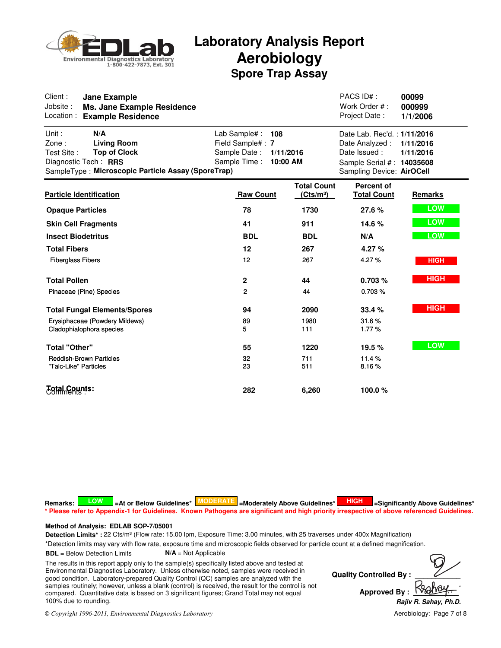

| Client :<br><b>Jane Example</b><br>Jobsite:<br>Ms. Jane Example Residence<br>Location:<br><b>Example Residence</b>                                             |                                                                         |                                             | PACS ID#:<br>Work Order #:<br>Project Date:                                                                             | 00099<br>000999<br>1/1/2006 |
|----------------------------------------------------------------------------------------------------------------------------------------------------------------|-------------------------------------------------------------------------|---------------------------------------------|-------------------------------------------------------------------------------------------------------------------------|-----------------------------|
| Unit:<br>N/A<br>Zone:<br><b>Living Room</b><br><b>Top of Clock</b><br>Test Site:<br>Diagnostic Tech: RRS<br>SampleType: Microscopic Particle Assay (SporeTrap) | Lab Sample#:<br>108<br>Field Sample#: 7<br>Sample Date:<br>Sample Time: | 1/11/2016<br>10:00 AM                       | Date Lab. Rec'd.: 1/11/2016<br>Date Analyzed:<br>Date Issued:<br>Sample Serial #: 14035608<br>Sampling Device: AirOCell | 1/11/2016<br>1/11/2016      |
| <b>Particle Identification</b>                                                                                                                                 | <b>Raw Count</b>                                                        | <b>Total Count</b><br>(Cts/m <sup>3</sup> ) | <b>Percent of</b><br><b>Total Count</b>                                                                                 | <b>Remarks</b>              |
| <b>Opaque Particles</b>                                                                                                                                        | 78                                                                      | 1730                                        | 27.6 %                                                                                                                  | <b>LOW</b>                  |
| <b>Skin Cell Fragments</b>                                                                                                                                     | 41                                                                      | 911                                         | 14.6 %                                                                                                                  | LOW                         |
| <b>Insect Biodetritus</b>                                                                                                                                      | <b>BDL</b>                                                              | <b>BDL</b>                                  | N/A                                                                                                                     | <b>LOW</b>                  |
| <b>Total Fibers</b>                                                                                                                                            | 12                                                                      | 267                                         | 4.27 $%$                                                                                                                |                             |
| <b>Fiberglass Fibers</b>                                                                                                                                       | 12                                                                      | 267                                         | 4.27%                                                                                                                   | <b>HIGH</b>                 |
| <b>Total Pollen</b>                                                                                                                                            | $\mathbf{2}$                                                            | 44                                          | 0.703%                                                                                                                  | <b>HIGH</b>                 |
| Pinaceae (Pine) Species                                                                                                                                        | $\overline{2}$                                                          | 44                                          | 0.703%                                                                                                                  |                             |
| <b>Total Fungal Elements/Spores</b>                                                                                                                            | 94                                                                      | 2090                                        | 33.4 %                                                                                                                  | <b>HIGH</b>                 |
| Erysiphaceae (Powdery Mildews)<br>Cladophialophora species                                                                                                     | 89<br>5.                                                                | 1980<br>111                                 | 31.6%<br>1.77%                                                                                                          |                             |
| <b>Total "Other"</b>                                                                                                                                           | 55                                                                      | 1220                                        | 19.5 %                                                                                                                  | <b>LOW</b>                  |
| <b>Reddish-Brown Particles</b><br>"Talc-Like" Particles                                                                                                        | 32<br>23                                                                | 711<br>511                                  | 11.4%<br>8.16%                                                                                                          |                             |
| <b>Estal Counts:</b>                                                                                                                                           | 282                                                                     | 6,260                                       | 100.0%                                                                                                                  |                             |

 $R$ emarks: **A LOW S**  $=$  At or Below Guidelines\* **MODERATE** =Moderately Above Guidelines\* **HIGH S** =Significantly Above Guidelines\* **\* Please refer to Appendix-1 for Guidelines. Known Pathogens are significant and high priority irrespective of above referenced Guidelines.**

### **Method of Analysis: EDLAB SOP-7/05001**

Detection Limits\* : 22 Cts/m<sup>3</sup> (Flow rate: 15.00 lpm, Exposure Time: 3.00 minutes, with 25 traverses under 400x Magnification)

\*Detection limits may vary with flow rate, exposure time and microscopic fields observed for particle count at a defined magnification.

**BDL** = Below Detection Limits **N/A** = Not Applicable

The results in this report apply only to the sample(s) specifically listed above and tested at Environmental Diagnostics Laboratory. Unless otherwise noted, samples were received in good condition. Laboratory-prepared Quality Control (QC) samples are analyzed with the samples routinely; however, unless a blank (control) is received, the result for the control is not compared. Quantitative data is based on 3 significant figures; Grand Total may not equal 100% due to rounding.

**Quality Controlled By: Approved By: Rajiv R. Sahay, Ph.D. .**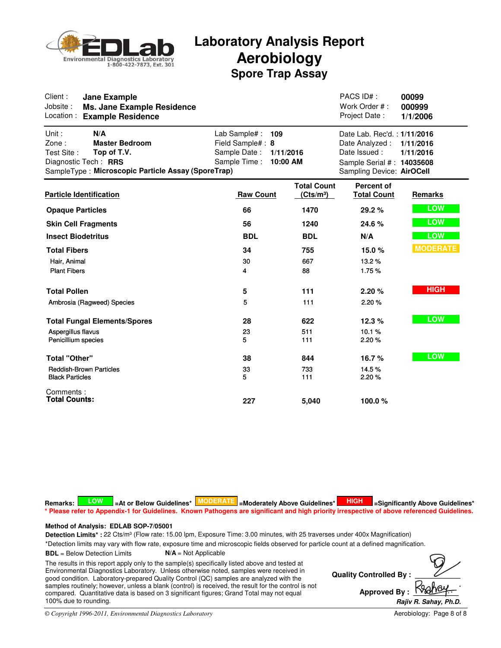

| Client:<br><b>Jane Example</b><br>Jobsite:<br>Ms. Jane Example Residence<br>Location:<br><b>Example Residence</b>                                         |                                                                                                   |                                             | PACS ID#:<br>Work Order #:<br>Project Date:                                                                             | 00099<br>000999<br>1/1/2006 |
|-----------------------------------------------------------------------------------------------------------------------------------------------------------|---------------------------------------------------------------------------------------------------|---------------------------------------------|-------------------------------------------------------------------------------------------------------------------------|-----------------------------|
| Unit:<br>N/A<br>Zone:<br><b>Master Bedroom</b><br>Test Site:<br>Top of T.V.<br>Diagnostic Tech: RRS<br>SampleType: Microscopic Particle Assay (SporeTrap) | Lab Sample# :<br>109<br>Field Sample#: 8<br>Sample Date:<br>1/11/2016<br>Sample Time:<br>10:00 AM |                                             | Date Lab. Rec'd.: 1/11/2016<br>Date Analyzed:<br>Date Issued:<br>Sample Serial #: 14035608<br>Sampling Device: AirOCell | 1/11/2016<br>1/11/2016      |
| <b>Particle Identification</b>                                                                                                                            | <b>Raw Count</b>                                                                                  | <b>Total Count</b><br>(Cts/m <sup>3</sup> ) | Percent of<br><b>Total Count</b>                                                                                        | Remarks                     |
| <b>Opaque Particles</b>                                                                                                                                   | 66                                                                                                | 1470                                        | 29.2%                                                                                                                   | <b>LOW</b>                  |
| <b>Skin Cell Fragments</b>                                                                                                                                | 56                                                                                                | 1240                                        | 24.6 %                                                                                                                  | <b>LOW</b>                  |
| <b>Insect Biodetritus</b>                                                                                                                                 | <b>BDL</b>                                                                                        | <b>BDL</b>                                  | N/A                                                                                                                     | LOW                         |
| <b>Total Fibers</b>                                                                                                                                       | 34                                                                                                | 755                                         | 15.0%                                                                                                                   | <b>MODERATE</b>             |
| Hair, Animal                                                                                                                                              | 30                                                                                                | 667                                         | 13.2%                                                                                                                   |                             |
| <b>Plant Fibers</b>                                                                                                                                       | 4                                                                                                 | 88                                          | 1.75%                                                                                                                   |                             |
| <b>Total Pollen</b>                                                                                                                                       | 5                                                                                                 | 111                                         | 2.20%                                                                                                                   | <b>HIGH</b>                 |
| Ambrosia (Ragweed) Species                                                                                                                                | 5                                                                                                 | 111                                         | 2.20%                                                                                                                   |                             |
| <b>Total Fungal Elements/Spores</b>                                                                                                                       | 28                                                                                                | 622                                         | 12.3%                                                                                                                   | <b>LOW</b>                  |
| Aspergillus flavus                                                                                                                                        | 23                                                                                                | 511                                         | 10.1%                                                                                                                   |                             |
| Penicillium species                                                                                                                                       | 5                                                                                                 | 111                                         | 2.20%                                                                                                                   |                             |
| <b>Total "Other"</b>                                                                                                                                      | 38                                                                                                | 844                                         | 16.7%                                                                                                                   | <b>LOW</b>                  |
| <b>Reddish-Brown Particles</b>                                                                                                                            | 33                                                                                                | 733                                         | 14.5%                                                                                                                   |                             |
| <b>Black Particles</b>                                                                                                                                    | 5.                                                                                                | 111                                         | 2.20%                                                                                                                   |                             |
| Comments:                                                                                                                                                 |                                                                                                   |                                             |                                                                                                                         |                             |
| <b>Total Counts:</b>                                                                                                                                      | 227                                                                                               | 5.040                                       | 100.0%                                                                                                                  |                             |

 $R$ emarks: **A LOW S**  $=$  At or Below Guidelines\* **MODERATE** =Moderately Above Guidelines\* **HIGH S** =Significantly Above Guidelines\* **\* Please refer to Appendix-1 for Guidelines. Known Pathogens are significant and high priority irrespective of above referenced Guidelines.**

### **Method of Analysis: EDLAB SOP-7/05001**

Detection Limits\* : 22 Cts/m<sup>3</sup> (Flow rate: 15.00 lpm, Exposure Time: 3.00 minutes, with 25 traverses under 400x Magnification)

\*Detection limits may vary with flow rate, exposure time and microscopic fields observed for particle count at a defined magnification.

**BDL** = Below Detection Limits **N/A** = Not Applicable

The results in this report apply only to the sample(s) specifically listed above and tested at Environmental Diagnostics Laboratory. Unless otherwise noted, samples were received in good condition. Laboratory-prepared Quality Control (QC) samples are analyzed with the samples routinely; however, unless a blank (control) is received, the result for the control is not compared. Quantitative data is based on 3 significant figures; Grand Total may not equal 100% due to rounding.

**Quality Controlled By: Approved By: Rajiv R. Sahay, Ph.D. .**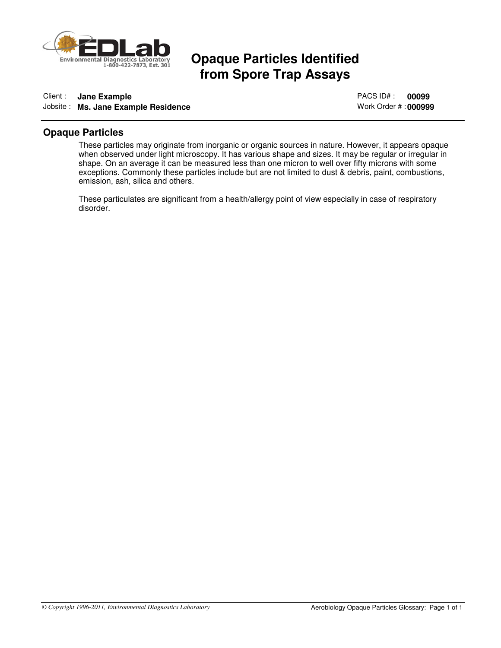

## **Opaque Particles Identified from Spore Trap Assays**

### Client : **Jane Example** Jobsite : **Ms. Jane Example Residence**

PACS ID# : **00099** Work Order # : **000999**

### **Opaque Particles**

These particles may originate from inorganic or organic sources in nature. However, it appears opaque when observed under light microscopy. It has various shape and sizes. It may be regular or irregular in shape. On an average it can be measured less than one micron to well over fifty microns with some exceptions. Commonly these particles include but are not limited to dust & debris, paint, combustions, emission, ash, silica and others.

These particulates are significant from a health/allergy point of view especially in case of respiratory disorder.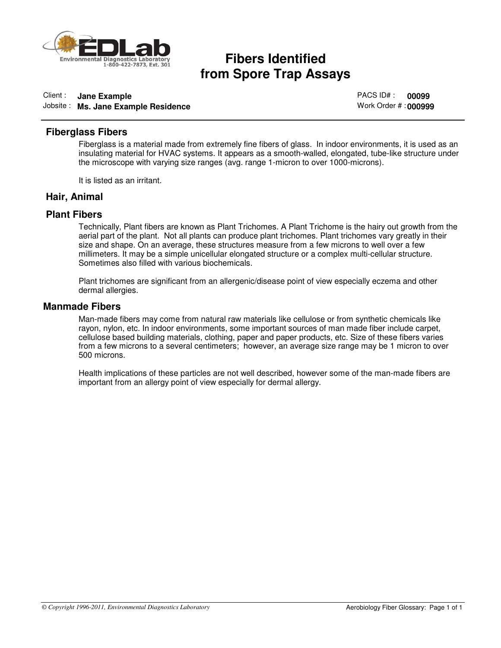

# **fibers Identified**<br>**from Spore Trap Assays**

## Client : **Jane Example**

Jobsite : **Ms. Jane Example Residence**

PACS ID# : **00099** Work Order # : **000999**

### **Fiberglass Fibers**

Fiberglass is a material made from extremely fine fibers of glass. In indoor environments, it is used as an insulating material for HVAC systems. It appears as a smooth-walled, elongated, tube-like structure under the microscope with varying size ranges (avg. range 1-micron to over 1000-microns).

It is listed as an irritant.

### **Hair, Animal**

### **Plant Fibers**

Technically, Plant fibers are known as Plant Trichomes. A Plant Trichome is the hairy out growth from the aerial part of the plant. Not all plants can produce plant trichomes. Plant trichomes vary greatly in their size and shape. On an average, these structures measure from a few microns to well over a few millimeters. It may be a simple unicellular elongated structure or a complex multi-cellular structure. Sometimes also filled with various biochemicals.

Plant trichomes are significant from an allergenic/disease point of view especially eczema and other dermal allergies.

### **Manmade Fibers**

Man-made fibers may come from natural raw materials like cellulose or from synthetic chemicals like rayon, nylon, etc. In indoor environments, some important sources of man made fiber include carpet, cellulose based building materials, clothing, paper and paper products, etc. Size of these fibers varies from a few microns to a several centimeters; however, an average size range may be 1 micron to over 500 microns.

Health implications of these particles are not well described, however some of the man-made fibers are important from an allergy point of view especially for dermal allergy.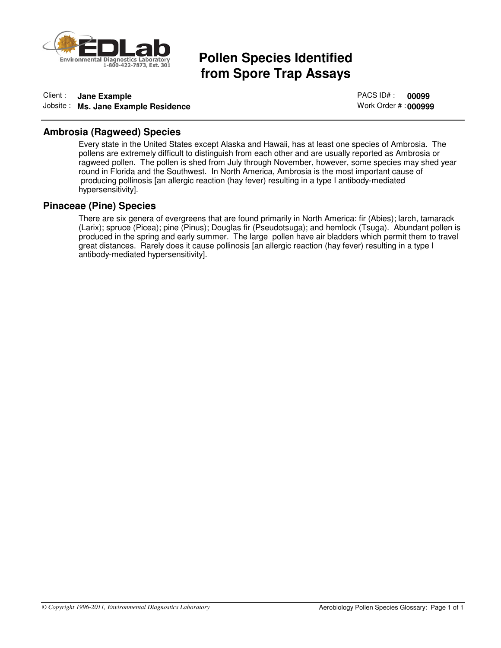

## **Pollen Species Identified from Spore Trap Assays**

### Client : **Jane Example** Jobsite : **Ms. Jane Example Residence**

PACS ID# : **00099** Work Order # : **000999**

### **Ambrosia (Ragweed) Species**

Every state in the United States except Alaska and Hawaii, has at least one species of Ambrosia. The pollens are extremely difficult to distinguish from each other and are usually reported as Ambrosia or ragweed pollen. The pollen is shed from July through November, however, some species may shed year round in Florida and the Southwest. In North America, Ambrosia is the most important cause of producing pollinosis [an allergic reaction (hay fever) resulting in a type I antibody-mediated hypersensitivity].

### **Pinaceae (Pine) Species**

There are six genera of evergreens that are found primarily in North America: fir (Abies); larch, tamarack (Larix); spruce (Picea); pine (Pinus); Douglas fir (Pseudotsuga); and hemlock (Tsuga). Abundant pollen is produced in the spring and early summer. The large pollen have air bladders which permit them to travel great distances. Rarely does it cause pollinosis [an allergic reaction (hay fever) resulting in a type I antibody-mediated hypersensitivity].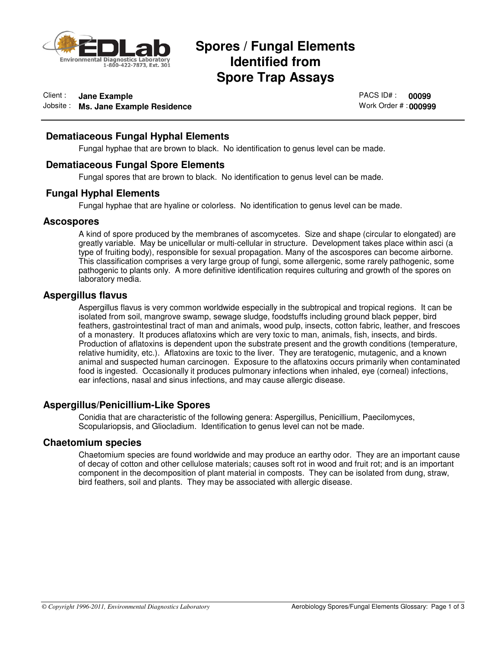

## **Spores / Fungal Elements<br>Identified from<br>Spore Trap Assays Identified from Spore Trap Assays**

### Client : **Jane Example**

Jobsite : **Ms. Jane Example Residence**

PACS ID# : **00099** Work Order # : **000999**

### **Dematiaceous Fungal Hyphal Elements**

Fungal hyphae that are brown to black. No identification to genus level can be made.

### **Dematiaceous Fungal Spore Elements**

Fungal spores that are brown to black. No identification to genus level can be made.

### **Fungal Hyphal Elements**

Fungal hyphae that are hyaline or colorless. No identification to genus level can be made.

### **Ascospores**

A kind of spore produced by the membranes of ascomycetes. Size and shape (circular to elongated) are greatly variable. May be unicellular or multi-cellular in structure. Development takes place within asci (a type of fruiting body), responsible for sexual propagation. Many of the ascospores can become airborne. This classification comprises a very large group of fungi, some allergenic, some rarely pathogenic, some pathogenic to plants only. A more definitive identification requires culturing and growth of the spores on laboratory media.

### **Aspergillus flavus**

Aspergillus flavus is very common worldwide especially in the subtropical and tropical regions. It can be isolated from soil, mangrove swamp, sewage sludge, foodstuffs including ground black pepper, bird feathers, gastrointestinal tract of man and animals, wood pulp, insects, cotton fabric, leather, and frescoes of a monastery. It produces aflatoxins which are very toxic to man, animals, fish, insects, and birds. Production of aflatoxins is dependent upon the substrate present and the growth conditions (temperature, relative humidity, etc.). Aflatoxins are toxic to the liver. They are teratogenic, mutagenic, and a known animal and suspected human carcinogen. Exposure to the aflatoxins occurs primarily when contaminated food is ingested. Occasionally it produces pulmonary infections when inhaled, eye (corneal) infections, ear infections, nasal and sinus infections, and may cause allergic disease.

### **Aspergillus/Penicillium-Like Spores**

Conidia that are characteristic of the following genera: Aspergillus, Penicillium, Paecilomyces, Scopulariopsis, and Gliocladium. Identification to genus level can not be made.

### **Chaetomium species**

Chaetomium species are found worldwide and may produce an earthy odor. They are an important cause of decay of cotton and other cellulose materials; causes soft rot in wood and fruit rot; and is an important component in the decomposition of plant material in composts. They can be isolated from dung, straw, bird feathers, soil and plants. They may be associated with allergic disease.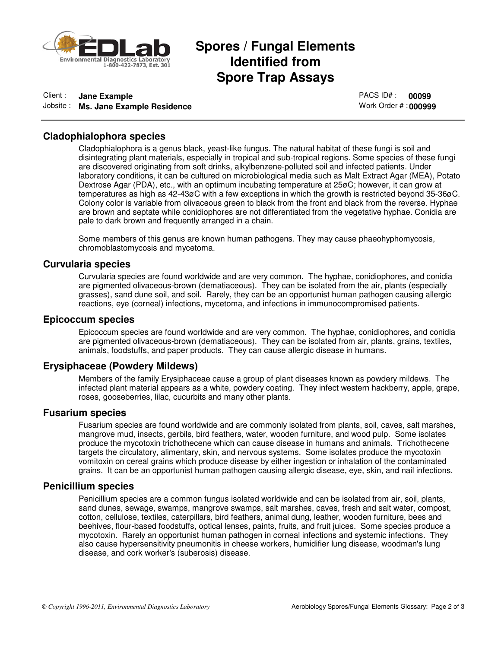

## **Spores / Fungal Elements<br>Identified from<br>Spore Trap Assays Identified from Spore Trap Assays**

### Client : **Jane Example** Jobsite : **Ms. Jane Example Residence**

PACS ID# : **00099** Work Order # : **000999**

### **Cladophialophora species**

Cladophialophora is a genus black, yeast-like fungus. The natural habitat of these fungi is soil and disintegrating plant materials, especially in tropical and sub-tropical regions. Some species of these fungi are discovered originating from soft drinks, alkylbenzene-polluted soil and infected patients. Under laboratory conditions, it can be cultured on microbiological media such as Malt Extract Agar (MEA), Potato Dextrose Agar (PDA), etc., with an optimum incubating temperature at 25øC; however, it can grow at temperatures as high as 42-43øC with a few exceptions in which the growth is restricted beyond 35-36øC. Colony color is variable from olivaceous green to black from the front and black from the reverse. Hyphae are brown and septate while conidiophores are not differentiated from the vegetative hyphae. Conidia are pale to dark brown and frequently arranged in a chain.

Some members of this genus are known human pathogens. They may cause phaeohyphomycosis, chromoblastomycosis and mycetoma.

### **Curvularia species**

Curvularia species are found worldwide and are very common. The hyphae, conidiophores, and conidia are pigmented olivaceous-brown (dematiaceous). They can be isolated from the air, plants (especially grasses), sand dune soil, and soil. Rarely, they can be an opportunist human pathogen causing allergic reactions, eye (corneal) infections, mycetoma, and infections in immunocompromised patients.

### **Epicoccum species**

Epicoccum species are found worldwide and are very common. The hyphae, conidiophores, and conidia are pigmented olivaceous-brown (dematiaceous). They can be isolated from air, plants, grains, textiles, animals, foodstuffs, and paper products. They can cause allergic disease in humans.

### **Erysiphaceae (Powdery Mildews)**

Members of the family Erysiphaceae cause a group of plant diseases known as powdery mildews. The infected plant material appears as a white, powdery coating. They infect western hackberry, apple, grape, roses, gooseberries, lilac, cucurbits and many other plants.

### **Fusarium species**

Fusarium species are found worldwide and are commonly isolated from plants, soil, caves, salt marshes, mangrove mud, insects, gerbils, bird feathers, water, wooden furniture, and wood pulp. Some isolates produce the mycotoxin trichothecene which can cause disease in humans and animals. Trichothecene targets the circulatory, alimentary, skin, and nervous systems. Some isolates produce the mycotoxin vomitoxin on cereal grains which produce disease by either ingestion or inhalation of the contaminated grains. It can be an opportunist human pathogen causing allergic disease, eye, skin, and nail infections.

### **Penicillium species**

Penicillium species are a common fungus isolated worldwide and can be isolated from air, soil, plants, sand dunes, sewage, swamps, mangrove swamps, salt marshes, caves, fresh and salt water, compost, cotton, cellulose, textiles, caterpillars, bird feathers, animal dung, leather, wooden furniture, bees and beehives, flour-based foodstuffs, optical lenses, paints, fruits, and fruit juices. Some species produce a mycotoxin. Rarely an opportunist human pathogen in corneal infections and systemic infections. They also cause hypersensitivity pneumonitis in cheese workers, humidifier lung disease, woodman's lung disease, and cork worker's (suberosis) disease.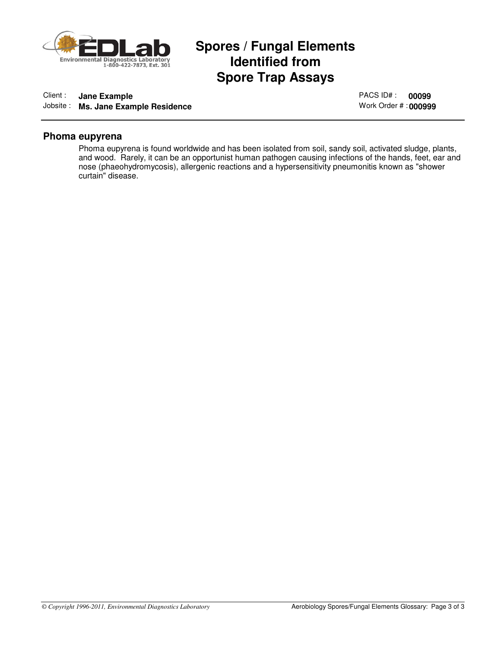

## **Spores / Fungal Elements<br>Identified from<br>Spore Trap Assays Identified from Spore Trap Assays**

### Client : **Jane Example**

Jobsite : **Ms. Jane Example Residence**

PACS ID# : **00099** Work Order # : **000999**

### **Phoma eupyrena**

Phoma eupyrena is found worldwide and has been isolated from soil, sandy soil, activated sludge, plants, and wood. Rarely, it can be an opportunist human pathogen causing infections of the hands, feet, ear and nose (phaeohydromycosis), allergenic reactions and a hypersensitivity pneumonitis known as "shower curtain" disease.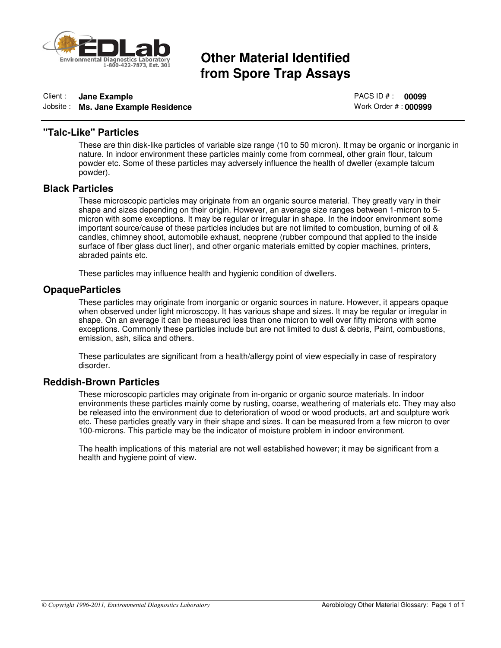

# **Other Material Identified<br>from Spore Trap Assays**

### Client : **Jane Example**

Jobsite : **Ms. Jane Example Residence**

PACS ID # : **00099** Work Order # : **000999**

### **"Talc-Like" Particles**

These are thin disk-like particles of variable size range (10 to 50 micron). It may be organic or inorganic in nature. In indoor environment these particles mainly come from cornmeal, other grain flour, talcum powder etc. Some of these particles may adversely influence the health of dweller (example talcum powder).

### **Black Particles**

These microscopic particles may originate from an organic source material. They greatly vary in their shape and sizes depending on their origin. However, an average size ranges between 1-micron to 5 micron with some exceptions. It may be regular or irregular in shape. In the indoor environment some important source/cause of these particles includes but are not limited to combustion, burning of oil & candles, chimney shoot, automobile exhaust, neoprene (rubber compound that applied to the inside surface of fiber glass duct liner), and other organic materials emitted by copier machines, printers, abraded paints etc.

These particles may influence health and hygienic condition of dwellers.

### **OpaqueParticles**

These particles may originate from inorganic or organic sources in nature. However, it appears opaque when observed under light microscopy. It has various shape and sizes. It may be regular or irregular in shape. On an average it can be measured less than one micron to well over fifty microns with some exceptions. Commonly these particles include but are not limited to dust & debris, Paint, combustions, emission, ash, silica and others.

These particulates are significant from a health/allergy point of view especially in case of respiratory disorder.

### **Reddish-Brown Particles**

These microscopic particles may originate from in-organic or organic source materials. In indoor environments these particles mainly come by rusting, coarse, weathering of materials etc. They may also be released into the environment due to deterioration of wood or wood products, art and sculpture work etc. These particles greatly vary in their shape and sizes. It can be measured from a few micron to over 100-microns. This particle may be the indicator of moisture problem in indoor environment.

The health implications of this material are not well established however; it may be significant from a health and hygiene point of view.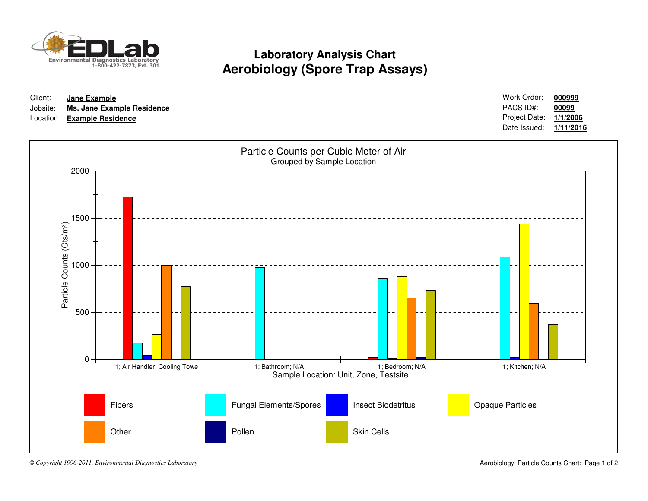

## **Laboratory Analysis ChartAerobiology (Spore Trap Assays)**

| Client:  | Jane Example                | Work Order:            | 000999    |
|----------|-----------------------------|------------------------|-----------|
| Jobsite: | Ms. Jane Example Residence  | PACS ID#:              | 00099     |
|          | Location: Example Residence | Project Date: 1/1/2006 |           |
|          |                             | Date Issued:           | 1/11/2016 |



*© Copyright 1996-2011, Environmental Diagnostics Laboratory*

Aerobiology: Particle Counts Chart: Page 1 of 2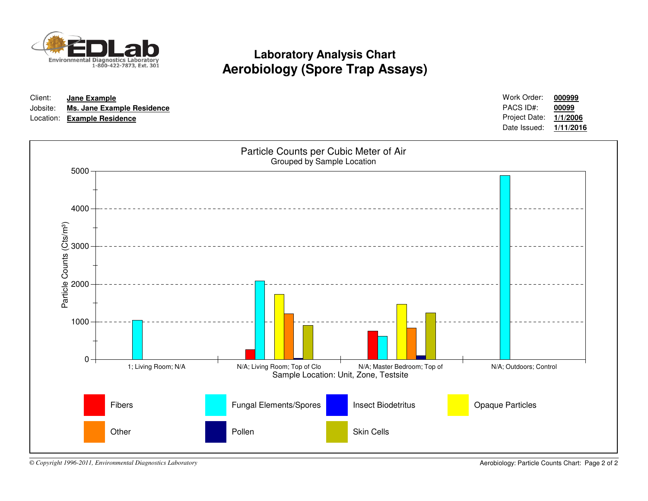

## **Laboratory Analysis ChartAerobiology (Spore Trap Assays)**

| Client: | Jane Example                        | Work Order:            | 000999 |
|---------|-------------------------------------|------------------------|--------|
|         | Jobsite: Ms. Jane Example Residence | PACS ID#:              | 00099  |
|         | Location: Example Residence         | Project Date: 1/1/2006 |        |
|         |                                     | Date Issued: 1/11/2016 |        |



*© Copyright 1996-2011, Environmental Diagnostics Laboratory*

Aerobiology: Particle Counts Chart: Page 2 of 2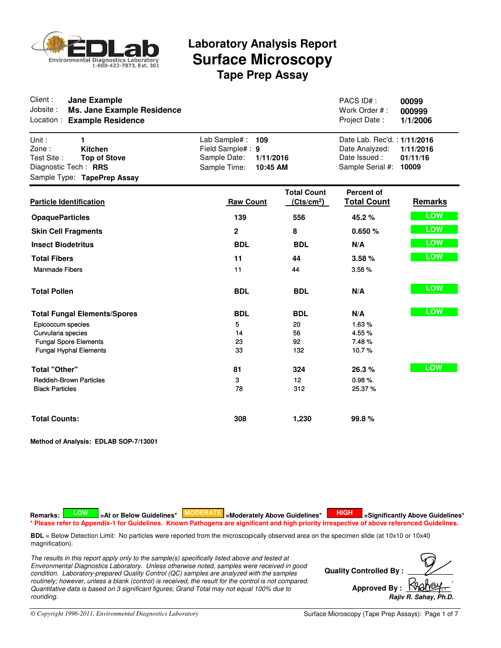

| Client:<br><b>Jane Example</b><br>Jobsite:<br><b>Ms. Jane Example Residence</b><br>Location:<br><b>Example Residence</b>          |                                                                                                   |                                              | PACS ID#:<br>Work Order #:<br>Project Date:                                       | 00099<br>000999<br>1/1/2006    |
|-----------------------------------------------------------------------------------------------------------------------------------|---------------------------------------------------------------------------------------------------|----------------------------------------------|-----------------------------------------------------------------------------------|--------------------------------|
| Unit:<br>1<br>Zone:<br><b>Kitchen</b><br>Test Site:<br><b>Top of Stove</b><br>Diagnostic Tech: RRS<br>Sample Type: TapePrep Assay | Lab Sample# :<br>109<br>Field Sample#: 9<br>Sample Date:<br>1/11/2016<br>Sample Time:<br>10:45 AM |                                              | Date Lab. Rec'd.: 1/11/2016<br>Date Analyzed:<br>Date Issued:<br>Sample Serial #: | 1/11/2016<br>01/11/16<br>10009 |
| <b>Particle Identification</b>                                                                                                    | <b>Raw Count</b>                                                                                  | <b>Total Count</b><br>(Cts/cm <sup>2</sup> ) | <b>Percent of</b><br><b>Total Count</b>                                           | Remarks                        |
| <b>OpaqueParticles</b>                                                                                                            | 139                                                                                               | 556                                          | 45.2%                                                                             | <b>LOW</b>                     |
| <b>Skin Cell Fragments</b>                                                                                                        | $\mathbf{2}$                                                                                      | 8                                            | 0.650%                                                                            | <b>LOW</b>                     |
| <b>Insect Biodetritus</b>                                                                                                         | <b>BDL</b>                                                                                        | <b>BDL</b>                                   | N/A                                                                               | <b>LOW</b>                     |
| <b>Total Fibers</b>                                                                                                               | 11                                                                                                | 44                                           | 3.58%                                                                             | <b>LOW</b>                     |
| <b>Manmade Fibers</b>                                                                                                             | 11                                                                                                | 44                                           | 3.58%                                                                             |                                |
| <b>Total Pollen</b>                                                                                                               | <b>BDL</b>                                                                                        | <b>BDL</b>                                   | N/A                                                                               | <b>LOW</b>                     |
| <b>Total Fungal Elements/Spores</b>                                                                                               | <b>BDL</b>                                                                                        | <b>BDL</b>                                   | N/A                                                                               | <b>LOW</b>                     |
| Epicoccum species                                                                                                                 | 5                                                                                                 | 20                                           | 1.63%                                                                             |                                |
| Curvularia species                                                                                                                | 14<br>23                                                                                          | 56<br>92                                     | 4.55%<br>7.48%                                                                    |                                |
| <b>Fungal Spore Elements</b><br><b>Fungal Hyphal Elements</b>                                                                     | 33                                                                                                | 132                                          | 10.7%                                                                             |                                |
| <b>Total "Other"</b>                                                                                                              | 81                                                                                                | 324                                          | 26.3%                                                                             | LOW                            |
| <b>Reddish-Brown Particles</b>                                                                                                    | 3                                                                                                 | 12 <sup>2</sup>                              | 0.98%                                                                             |                                |
| <b>Black Particles</b>                                                                                                            | 78                                                                                                | 312                                          | 25.37%                                                                            |                                |
| <b>Total Counts:</b>                                                                                                              | 308                                                                                               | 1,230                                        | 99.8%                                                                             |                                |

**Method of Analysis: EDLAB SOP-7/13001**

Remarks: **A LOW T** LAT or Below Guidelines\* **MODERATE** Le Moderately Above Guidelines\* **A HIGH TE** LSignificantly Above Guidelines\* **\* Please refer to Appendix-1 for Guidelines. Known Pathogens are significant and high priority irrespective of above referenced Guidelines.**

**BDL** = Below Detection Limit: No particles were reported from the microscopically observed area on the specimen slide (at 10x10 or 10x40 magnification).

*The results in this report apply only to the sample(s) specifically listed above and tested at Environmental Diagnostics Laboratory. Unless otherwise noted, samples were received in good condition. Laboratory-prepared Quality Control (QC) samples are analyzed with the samples routinely; however, unless a blank (control) is received, the result for the control is not compared. Quantitative data is based on 3 significant figures; Grand Total may not equal 100% due to rounding.*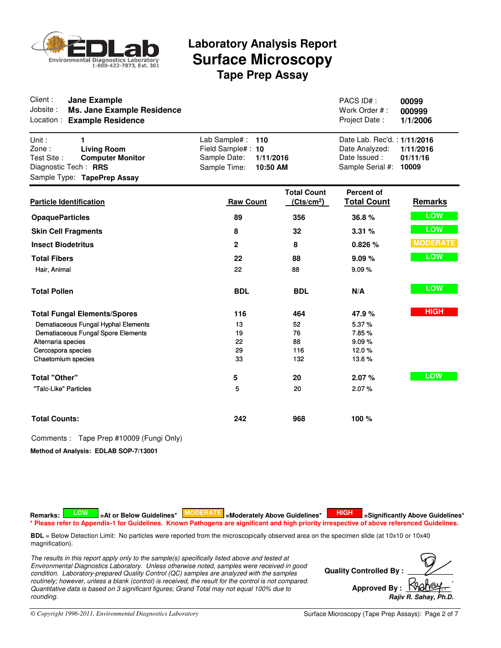

| Client:<br><b>Jane Example</b><br>Jobsite:<br><b>Ms. Jane Example Residence</b><br>Location:<br><b>Example Residence</b>                  |                                                                                                    |                                              | PACS ID#:<br>Work Order #:<br>Project Date:                                       | 00099<br>000999<br>1/1/2006    |
|-------------------------------------------------------------------------------------------------------------------------------------------|----------------------------------------------------------------------------------------------------|----------------------------------------------|-----------------------------------------------------------------------------------|--------------------------------|
| Unit:<br>1<br>Zone:<br><b>Living Room</b><br>Test Site:<br><b>Computer Monitor</b><br>Diagnostic Tech: RRS<br>Sample Type: TapePrep Assay | Lab Sample# :<br>110<br>Field Sample#: 10<br>Sample Date:<br>1/11/2016<br>Sample Time:<br>10:50 AM |                                              | Date Lab. Rec'd.: 1/11/2016<br>Date Analyzed:<br>Date Issued:<br>Sample Serial #: | 1/11/2016<br>01/11/16<br>10009 |
| <b>Particle Identification</b>                                                                                                            | <b>Raw Count</b>                                                                                   | <b>Total Count</b><br>(Cts/cm <sup>2</sup> ) | <b>Percent of</b><br><b>Total Count</b>                                           | Remarks                        |
| <b>OpaqueParticles</b>                                                                                                                    | 89                                                                                                 | 356                                          | 36.8%                                                                             | <b>LOW</b>                     |
| <b>Skin Cell Fragments</b>                                                                                                                | 8                                                                                                  | 32                                           | 3.31%                                                                             | <b>LOW</b>                     |
| <b>Insect Biodetritus</b>                                                                                                                 | $\overline{2}$                                                                                     | 8                                            | 0.826 %                                                                           | <b>MODERATE</b>                |
| <b>Total Fibers</b>                                                                                                                       | 22                                                                                                 | 88                                           | 9.09%                                                                             | LOW                            |
| Hair, Animal                                                                                                                              | 22                                                                                                 | 88                                           | 9.09%                                                                             |                                |
| <b>Total Pollen</b>                                                                                                                       | <b>BDL</b>                                                                                         | <b>BDL</b>                                   | N/A                                                                               | <b>LOW</b>                     |
| <b>Total Fungal Elements/Spores</b>                                                                                                       | 116                                                                                                | 464                                          | 47.9%                                                                             | <b>HIGH</b>                    |
| Dematiaceous Fungal Hyphal Elements                                                                                                       | 13                                                                                                 | 52                                           | 5.37%                                                                             |                                |
| Dematiaceous Fungal Spore Elements                                                                                                        | 19<br>22                                                                                           | 76                                           | 7.85%                                                                             |                                |
| Alternaria species<br>Cercospora species                                                                                                  | 29                                                                                                 | 88<br>116                                    | 9.09%<br>12.0%                                                                    |                                |
| Chaetomium species                                                                                                                        | 33                                                                                                 | 132                                          | 13.6%                                                                             |                                |
| <b>Total "Other"</b>                                                                                                                      | 5                                                                                                  | 20                                           | 2.07%                                                                             | LOW                            |
| "Talc-Like" Particles                                                                                                                     | 5                                                                                                  | 20                                           | 2.07%                                                                             |                                |
| <b>Total Counts:</b>                                                                                                                      | 242                                                                                                | 968                                          | 100 %                                                                             |                                |

### Comments : Tape Prep #10009 (Fungi Only)

**Method of Analysis: EDLAB SOP-7/13001**

Remarks: **A LOW T** LAT or Below Guidelines\* **MODERATE** Le Moderately Above Guidelines\* **A HIGH TE** LSignificantly Above Guidelines\* **\* Please refer to Appendix-1 for Guidelines. Known Pathogens are significant and high priority irrespective of above referenced Guidelines.**

**BDL** = Below Detection Limit: No particles were reported from the microscopically observed area on the specimen slide (at 10x10 or 10x40 magnification).

*The results in this report apply only to the sample(s) specifically listed above and tested at Environmental Diagnostics Laboratory. Unless otherwise noted, samples were received in good condition. Laboratory-prepared Quality Control (QC) samples are analyzed with the samples routinely; however, unless a blank (control) is received, the result for the control is not compared. Quantitative data is based on 3 significant figures; Grand Total may not equal 100% due to rounding.*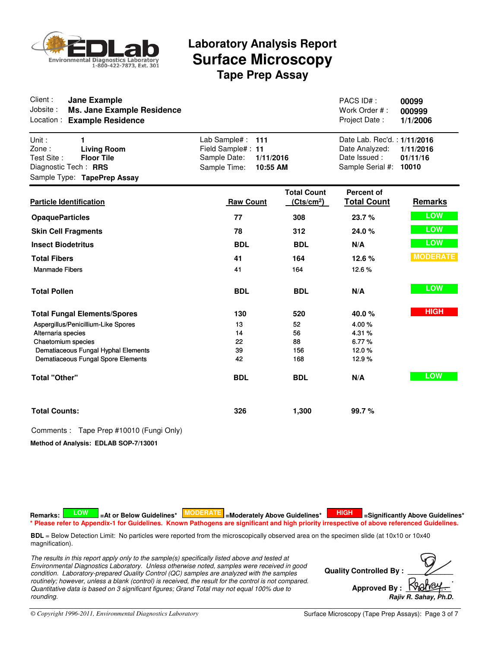

| Client:<br><b>Jane Example</b><br>Jobsite:<br><b>Ms. Jane Example Residence</b><br>Location:<br><b>Example Residence</b>            |                                                                                                   |                                              | PACS ID#:<br>Work Order #:<br>Project Date:                                       | 00099<br>000999<br>1/1/2006    |
|-------------------------------------------------------------------------------------------------------------------------------------|---------------------------------------------------------------------------------------------------|----------------------------------------------|-----------------------------------------------------------------------------------|--------------------------------|
| Unit:<br>1<br>Zone:<br><b>Living Room</b><br>Test Site:<br><b>Floor Tile</b><br>Diagnostic Tech: RRS<br>Sample Type: TapePrep Assay | Lab Sample#:<br>111<br>Field Sample#: 11<br>Sample Date:<br>1/11/2016<br>Sample Time:<br>10:55 AM |                                              | Date Lab. Rec'd.: 1/11/2016<br>Date Analyzed:<br>Date Issued:<br>Sample Serial #: | 1/11/2016<br>01/11/16<br>10010 |
| <b>Particle Identification</b>                                                                                                      | <b>Raw Count</b>                                                                                  | <b>Total Count</b><br>(Cts/cm <sup>2</sup> ) | <b>Percent of</b><br><b>Total Count</b>                                           | <b>Remarks</b>                 |
| <b>OpaqueParticles</b>                                                                                                              | 77                                                                                                | 308                                          | 23.7%                                                                             | LOW                            |
| <b>Skin Cell Fragments</b>                                                                                                          | 78                                                                                                | 312                                          | 24.0%                                                                             | LOW                            |
| <b>Insect Biodetritus</b>                                                                                                           | <b>BDL</b>                                                                                        | <b>BDL</b>                                   | N/A                                                                               | <b>LOW</b>                     |
| <b>Total Fibers</b>                                                                                                                 | 41                                                                                                | 164                                          | 12.6 %                                                                            | <b>MODERATE</b>                |
| <b>Manmade Fibers</b>                                                                                                               | 41                                                                                                | 164                                          | 12.6%                                                                             |                                |
| <b>Total Pollen</b>                                                                                                                 | <b>BDL</b>                                                                                        | <b>BDL</b>                                   | N/A                                                                               | <b>LOW</b>                     |
| <b>Total Fungal Elements/Spores</b>                                                                                                 | 130                                                                                               | 520                                          | 40.0%                                                                             | <b>HIGH</b>                    |
| Aspergillus/Penicillium-Like Spores                                                                                                 | 13                                                                                                | 52                                           | 4.00%                                                                             |                                |
| Alternaria species                                                                                                                  | 14                                                                                                | 56                                           | 4.31%                                                                             |                                |
| Chaetomium species<br>Dematiaceous Fungal Hyphal Elements                                                                           | 22<br>39                                                                                          | 88<br>156                                    | 6.77%<br>12.0%                                                                    |                                |
| Dematiaceous Fungal Spore Elements                                                                                                  | 42                                                                                                | 168                                          | 12.9%                                                                             |                                |
| <b>Total "Other"</b>                                                                                                                | <b>BDL</b>                                                                                        | <b>BDL</b>                                   | N/A                                                                               | <b>LOW</b>                     |
| <b>Total Counts:</b>                                                                                                                | 326                                                                                               | 1,300                                        | 99.7%                                                                             |                                |

Comments : Tape Prep #10010 (Fungi Only)

**Method of Analysis: EDLAB SOP-7/13001**

Remarks: **A LOW T** LAT or Below Guidelines\* **MODERATE** Le Moderately Above Guidelines\* **A HIGH TE** LSignificantly Above Guidelines\* **\* Please refer to Appendix-1 for Guidelines. Known Pathogens are significant and high priority irrespective of above referenced Guidelines.**

**BDL** = Below Detection Limit: No particles were reported from the microscopically observed area on the specimen slide (at 10x10 or 10x40 magnification).

*The results in this report apply only to the sample(s) specifically listed above and tested at Environmental Diagnostics Laboratory. Unless otherwise noted, samples were received in good condition. Laboratory-prepared Quality Control (QC) samples are analyzed with the samples routinely; however, unless a blank (control) is received, the result for the control is not compared. Quantitative data is based on 3 significant figures; Grand Total may not equal 100% due to rounding.*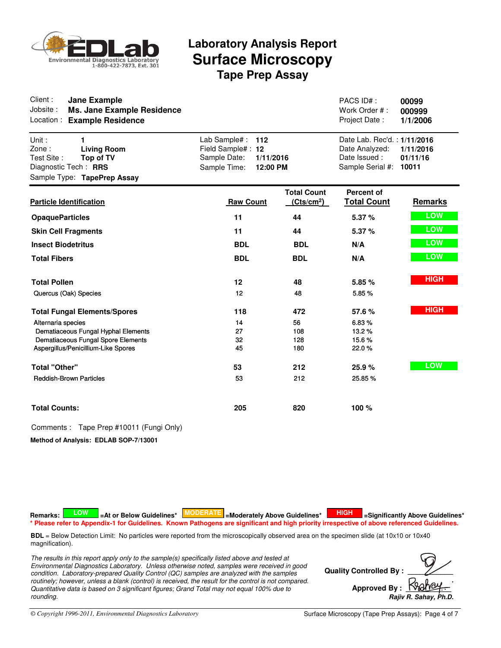

| Client:<br><b>Jane Example</b><br>Jobsite:<br><b>Ms. Jane Example Residence</b><br>Location:<br><b>Example Residence</b>               |                                                                                                   |                                              | PACS ID#:<br>Work Order #:<br>Project Date:                                       | 00099<br>000999<br>1/1/2006    |
|----------------------------------------------------------------------------------------------------------------------------------------|---------------------------------------------------------------------------------------------------|----------------------------------------------|-----------------------------------------------------------------------------------|--------------------------------|
| Unit:<br>1<br>Zone:<br><b>Living Room</b><br>Test Site:<br>Top of TV<br>Diagnostic Tech: RRS<br>Sample Type: TapePrep Assay            | Lab Sample#:<br>112<br>Field Sample#: 12<br>Sample Date:<br>1/11/2016<br>Sample Time:<br>12:00 PM |                                              | Date Lab. Rec'd.: 1/11/2016<br>Date Analyzed:<br>Date Issued:<br>Sample Serial #: | 1/11/2016<br>01/11/16<br>10011 |
| <b>Particle Identification</b>                                                                                                         | <b>Raw Count</b>                                                                                  | <b>Total Count</b><br>(Cts/cm <sup>2</sup> ) | Percent of<br><b>Total Count</b>                                                  | <b>Remarks</b>                 |
| <b>OpaqueParticles</b>                                                                                                                 | 11                                                                                                | 44                                           | 5.37 %                                                                            | LOW                            |
| <b>Skin Cell Fragments</b>                                                                                                             | 11                                                                                                | 44                                           | 5.37 %                                                                            | <b>LOW</b>                     |
| <b>Insect Biodetritus</b>                                                                                                              | <b>BDL</b>                                                                                        | <b>BDL</b>                                   | N/A                                                                               | <b>LOW</b>                     |
| <b>Total Fibers</b>                                                                                                                    | <b>BDL</b>                                                                                        | <b>BDL</b>                                   | N/A                                                                               | <b>LOW</b>                     |
| <b>Total Pollen</b>                                                                                                                    | 12                                                                                                | 48                                           | 5.85%                                                                             | <b>HIGH</b>                    |
| Quercus (Oak) Species                                                                                                                  | 12                                                                                                | 48                                           | 5.85%                                                                             |                                |
| <b>Total Fungal Elements/Spores</b>                                                                                                    | 118                                                                                               | 472                                          | 57.6%                                                                             | <b>HIGH</b>                    |
| Alternaria species<br>Dematiaceous Fungal Hyphal Elements<br>Dematiaceous Fungal Spore Elements<br>Aspergillus/Penicillium-Like Spores | 14<br>27<br>32<br>45                                                                              | 56<br>108<br>128<br>180                      | 6.83%<br>13.2%<br>15.6%<br>22.0%                                                  |                                |
| <b>Total "Other"</b><br><b>Reddish-Brown Particles</b>                                                                                 | 53<br>53                                                                                          | 212<br>212                                   | 25.9%<br>25.85%                                                                   | <b>LOW</b>                     |
| <b>Total Counts:</b>                                                                                                                   | 205                                                                                               | 820                                          | 100 %                                                                             |                                |

Comments : Tape Prep #10011 (Fungi Only)

**Method of Analysis: EDLAB SOP-7/13001**

Remarks: **A LOW T** LAT or Below Guidelines\* **MODERATE** Le Moderately Above Guidelines\* **A HIGH TE** LSignificantly Above Guidelines\* **\* Please refer to Appendix-1 for Guidelines. Known Pathogens are significant and high priority irrespective of above referenced Guidelines.**

**BDL** = Below Detection Limit: No particles were reported from the microscopically observed area on the specimen slide (at 10x10 or 10x40 magnification).

*The results in this report apply only to the sample(s) specifically listed above and tested at Environmental Diagnostics Laboratory. Unless otherwise noted, samples were received in good condition. Laboratory-prepared Quality Control (QC) samples are analyzed with the samples routinely; however, unless a blank (control) is received, the result for the control is not compared. Quantitative data is based on 3 significant figures; Grand Total may not equal 100% due to rounding.*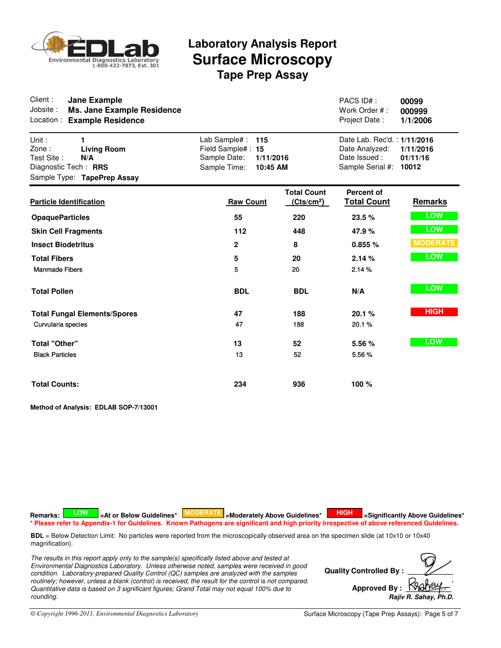

| Client:<br><b>Jane Example</b><br>Jobsite:<br><b>Ms. Jane Example Residence</b><br>Location:<br><b>Example Residence</b> |                                                                                                   |                                              | PACS ID#:<br>Work Order #:<br>Project Date:                                       | 00099<br>000999<br>1/1/2006    |
|--------------------------------------------------------------------------------------------------------------------------|---------------------------------------------------------------------------------------------------|----------------------------------------------|-----------------------------------------------------------------------------------|--------------------------------|
| Unit:<br>1<br>Zone:<br><b>Living Room</b><br>Test Site :<br>N/A<br>Diagnostic Tech: RRS<br>Sample Type: TapePrep Assay   | Lab Sample#:<br>115<br>Field Sample#: 15<br>Sample Date:<br>1/11/2016<br>Sample Time:<br>10:45 AM |                                              | Date Lab. Rec'd.: 1/11/2016<br>Date Analyzed:<br>Date Issued:<br>Sample Serial #: | 1/11/2016<br>01/11/16<br>10012 |
| <b>Particle Identification</b>                                                                                           | <b>Raw Count</b>                                                                                  | <b>Total Count</b><br>(Cts/cm <sup>2</sup> ) | Percent of<br><b>Total Count</b>                                                  | <b>Remarks</b>                 |
| <b>OpaqueParticles</b>                                                                                                   | 55                                                                                                | 220                                          | 23.5 %                                                                            | LOW                            |
| <b>Skin Cell Fragments</b>                                                                                               | 112                                                                                               | 448                                          | 47.9%                                                                             | <b>LOW</b>                     |
| <b>Insect Biodetritus</b>                                                                                                | $\mathbf{2}$                                                                                      | 8                                            | 0.855%                                                                            | <b>MODERATE</b>                |
| <b>Total Fibers</b>                                                                                                      | 5                                                                                                 | 20                                           | 2.14 %                                                                            | LOW                            |
| <b>Manmade Fibers</b>                                                                                                    | 5                                                                                                 | 20                                           | 2.14%                                                                             |                                |
| <b>Total Pollen</b>                                                                                                      | <b>BDL</b>                                                                                        | <b>BDL</b>                                   | N/A                                                                               | LOW                            |
| <b>Total Fungal Elements/Spores</b>                                                                                      | 47                                                                                                | 188                                          | 20.1%                                                                             | <b>HIGH</b>                    |
| Curvularia species                                                                                                       | 47                                                                                                | 188                                          | 20.1%                                                                             |                                |
| <b>Total "Other"</b>                                                                                                     | 13                                                                                                | 52                                           | 5.56 %                                                                            | <b>LOW</b>                     |
| <b>Black Particles</b>                                                                                                   | 13                                                                                                | 52                                           | 5.56%                                                                             |                                |
| <b>Total Counts:</b>                                                                                                     | 234                                                                                               | 936                                          | 100 %                                                                             |                                |

**Method of Analysis: EDLAB SOP-7/13001**

Remarks: **A LOW T** LAT or Below Guidelines\* **MODERATE** Le Moderately Above Guidelines\* **A HIGH TE** LSignificantly Above Guidelines\* **\* Please refer to Appendix-1 for Guidelines. Known Pathogens are significant and high priority irrespective of above referenced Guidelines.**

**BDL** = Below Detection Limit: No particles were reported from the microscopically observed area on the specimen slide (at 10x10 or 10x40 magnification).

*The results in this report apply only to the sample(s) specifically listed above and tested at Environmental Diagnostics Laboratory. Unless otherwise noted, samples were received in good condition. Laboratory-prepared Quality Control (QC) samples are analyzed with the samples routinely; however, unless a blank (control) is received, the result for the control is not compared. Quantitative data is based on 3 significant figures; Grand Total may not equal 100% due to rounding.*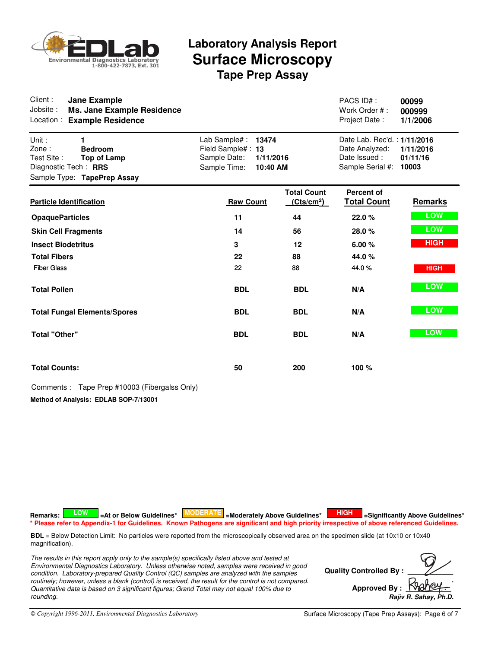

| Client:<br><b>Jane Example</b><br>Jobsite:<br>Ms. Jane Example Residence<br>Location :<br><b>Example Residence</b>               |                                                                                                      |                                              | PACS ID#:<br>Work Order #:<br>Project Date:                                       | 00099<br>000999<br>1/1/2006    |
|----------------------------------------------------------------------------------------------------------------------------------|------------------------------------------------------------------------------------------------------|----------------------------------------------|-----------------------------------------------------------------------------------|--------------------------------|
| Unit:<br>1<br>Zone:<br><b>Bedroom</b><br>Test Site:<br><b>Top of Lamp</b><br>Diagnostic Tech: RRS<br>Sample Type: TapePrep Assay | Lab Sample# :<br>13474<br>Field Sample#: 13<br>Sample Date:<br>1/11/2016<br>Sample Time:<br>10:40 AM |                                              | Date Lab. Rec'd.: 1/11/2016<br>Date Analyzed:<br>Date Issued:<br>Sample Serial #: | 1/11/2016<br>01/11/16<br>10003 |
| <b>Particle Identification</b>                                                                                                   | <b>Raw Count</b>                                                                                     | <b>Total Count</b><br>(Cts/cm <sup>2</sup> ) | <b>Percent of</b><br><b>Total Count</b>                                           | <b>Remarks</b>                 |
| <b>OpaqueParticles</b>                                                                                                           | 11                                                                                                   | 44                                           | 22.0%                                                                             | LOW                            |
| <b>Skin Cell Fragments</b>                                                                                                       | 14                                                                                                   | 56                                           | 28.0%                                                                             | LOW                            |
| <b>Insect Biodetritus</b>                                                                                                        | 3                                                                                                    | 12                                           | 6.00%                                                                             | <b>HIGH</b>                    |
| <b>Total Fibers</b>                                                                                                              | 22                                                                                                   | 88                                           | 44.0%                                                                             |                                |
| <b>Fiber Glass</b>                                                                                                               | 22                                                                                                   | 88                                           | 44.0%                                                                             | <b>HIGH</b>                    |
| <b>Total Pollen</b>                                                                                                              | <b>BDL</b>                                                                                           | <b>BDL</b>                                   | N/A                                                                               | LOW                            |
| <b>Total Fungal Elements/Spores</b>                                                                                              | <b>BDL</b>                                                                                           | <b>BDL</b>                                   | N/A                                                                               | LOW                            |
| <b>Total "Other"</b>                                                                                                             | <b>BDL</b>                                                                                           | <b>BDL</b>                                   | N/A                                                                               | LOW                            |
| <b>Total Counts:</b>                                                                                                             | 50                                                                                                   | 200                                          | 100 %                                                                             |                                |
| Comments: Tape Prep #10003 (Fibergalss Only)                                                                                     |                                                                                                      |                                              |                                                                                   |                                |
| Method of Analysis: EDLAB SOP-7/13001                                                                                            |                                                                                                      |                                              |                                                                                   |                                |

Remarks: **A LOW T** LAT or Below Guidelines\* **MODERATE** Le Moderately Above Guidelines\* **A HIGH TE** LSignificantly Above Guidelines\* **\* Please refer to Appendix-1 for Guidelines. Known Pathogens are significant and high priority irrespective of above referenced Guidelines.**

**BDL** = Below Detection Limit: No particles were reported from the microscopically observed area on the specimen slide (at 10x10 or 10x40 magnification).

*The results in this report apply only to the sample(s) specifically listed above and tested at Environmental Diagnostics Laboratory. Unless otherwise noted, samples were received in good condition. Laboratory-prepared Quality Control (QC) samples are analyzed with the samples routinely; however, unless a blank (control) is received, the result for the control is not compared. Quantitative data is based on 3 significant figures; Grand Total may not equal 100% due to rounding.*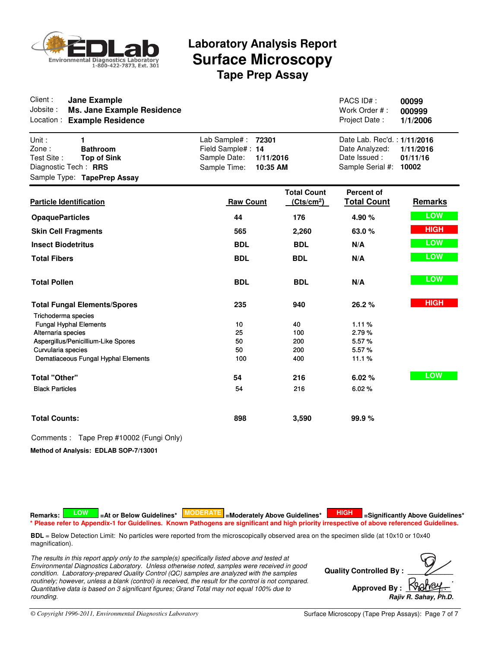

| Client:<br><b>Jane Example</b><br>Jobsite:<br><b>Ms. Jane Example Residence</b><br>Location:<br><b>Example Residence</b>          |                                                                                                     |                                              | PACS ID#:<br>Work Order #:<br>Project Date:                                       | 00099<br>000999<br>1/1/2006    |
|-----------------------------------------------------------------------------------------------------------------------------------|-----------------------------------------------------------------------------------------------------|----------------------------------------------|-----------------------------------------------------------------------------------|--------------------------------|
| Unit:<br>1<br>Zone:<br><b>Bathroom</b><br>Test Site:<br><b>Top of Sink</b><br>Diagnostic Tech: RRS<br>Sample Type: TapePrep Assay | Lab Sample#:<br>72301<br>Field Sample#: 14<br>Sample Date:<br>1/11/2016<br>Sample Time:<br>10:35 AM |                                              | Date Lab. Rec'd.: 1/11/2016<br>Date Analyzed:<br>Date Issued:<br>Sample Serial #: | 1/11/2016<br>01/11/16<br>10002 |
| <b>Particle Identification</b>                                                                                                    | <b>Raw Count</b>                                                                                    | <b>Total Count</b><br>(Cts/cm <sup>2</sup> ) | Percent of<br><b>Total Count</b>                                                  | Remarks                        |
| <b>OpaqueParticles</b>                                                                                                            | 44                                                                                                  | 176                                          | 4.90 %                                                                            | <b>LOW</b>                     |
| <b>Skin Cell Fragments</b>                                                                                                        | 565                                                                                                 | 2,260                                        | 63.0%                                                                             | <b>HIGH</b>                    |
| <b>Insect Biodetritus</b>                                                                                                         | <b>BDL</b>                                                                                          | <b>BDL</b>                                   | N/A                                                                               | LOW                            |
| <b>Total Fibers</b>                                                                                                               | <b>BDL</b>                                                                                          | <b>BDL</b>                                   | N/A                                                                               | LOW                            |
| <b>Total Pollen</b>                                                                                                               | <b>BDL</b>                                                                                          | <b>BDL</b>                                   | N/A                                                                               | LOW                            |
| <b>Total Fungal Elements/Spores</b>                                                                                               | 235                                                                                                 | 940                                          | 26.2%                                                                             | <b>HIGH</b>                    |
| Trichoderma species<br><b>Fungal Hyphal Elements</b>                                                                              | 10                                                                                                  | 40                                           | 1.11%                                                                             |                                |
| Alternaria species                                                                                                                | 25                                                                                                  | 100                                          | 2.79%                                                                             |                                |
| Aspergillus/Penicillium-Like Spores                                                                                               | 50                                                                                                  | 200                                          | 5.57%                                                                             |                                |
| Curvularia species<br>Dematiaceous Fungal Hyphal Elements                                                                         | 50<br>100                                                                                           | 200<br>400                                   | 5.57%<br>11.1%                                                                    |                                |
|                                                                                                                                   |                                                                                                     |                                              |                                                                                   |                                |
| <b>Total "Other"</b>                                                                                                              | 54                                                                                                  | 216                                          | 6.02%                                                                             | <b>LOW</b>                     |
| <b>Black Particles</b>                                                                                                            | 54                                                                                                  | 216                                          | 6.02%                                                                             |                                |
| <b>Total Counts:</b>                                                                                                              | 898                                                                                                 | 3,590                                        | 99.9%                                                                             |                                |

### Comments : Tape Prep #10002 (Fungi Only)

**Method of Analysis: EDLAB SOP-7/13001**

Remarks: **A LOW T** LAT or Below Guidelines\* **MODERATE** Le Moderately Above Guidelines\* **A HIGH TE** LSignificantly Above Guidelines\* **\* Please refer to Appendix-1 for Guidelines. Known Pathogens are significant and high priority irrespective of above referenced Guidelines.**

**BDL** = Below Detection Limit: No particles were reported from the microscopically observed area on the specimen slide (at 10x10 or 10x40 magnification).

*The results in this report apply only to the sample(s) specifically listed above and tested at Environmental Diagnostics Laboratory. Unless otherwise noted, samples were received in good condition. Laboratory-prepared Quality Control (QC) samples are analyzed with the samples routinely; however, unless a blank (control) is received, the result for the control is not compared. Quantitative data is based on 3 significant figures; Grand Total may not equal 100% due to rounding.*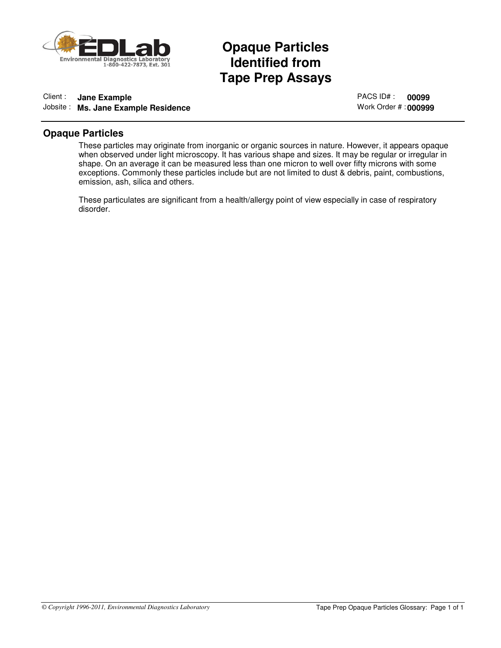

## Opaque Particles<br>Identified from<br>Tape Prep Assays **Opaque Particles Identified from**

### Client : **Jane Example** Jobsite : **Ms. Jane Example Residence**

PACS ID# : **00099** Work Order # : **000999**

### **Opaque Particles**

These particles may originate from inorganic or organic sources in nature. However, it appears opaque when observed under light microscopy. It has various shape and sizes. It may be regular or irregular in shape. On an average it can be measured less than one micron to well over fifty microns with some exceptions. Commonly these particles include but are not limited to dust & debris, paint, combustions, emission, ash, silica and others.

These particulates are significant from a health/allergy point of view especially in case of respiratory disorder.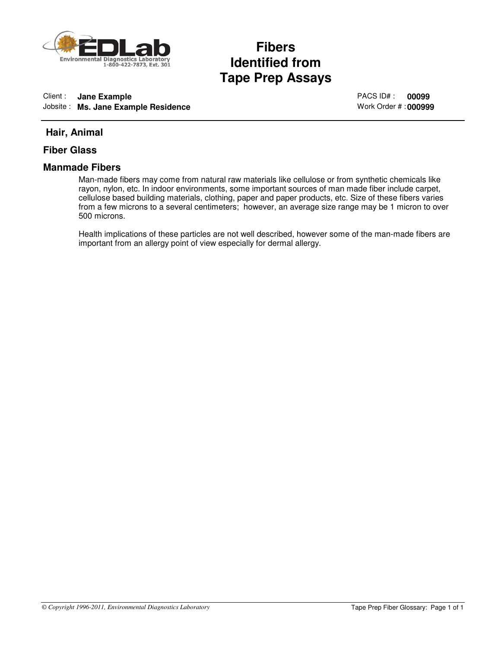

## Fibers<br>Identified from<br>Tape Prep Assays **Fibers Identified from**

### Client : **Jane Example** Jobsite : **Ms. Jane Example Residence**

PACS ID# : **00099** Work Order # : **000999**

### **Hair, Animal**

### **Fiber Glass**

### **Manmade Fibers**

Man-made fibers may come from natural raw materials like cellulose or from synthetic chemicals like rayon, nylon, etc. In indoor environments, some important sources of man made fiber include carpet, cellulose based building materials, clothing, paper and paper products, etc. Size of these fibers varies from a few microns to a several centimeters; however, an average size range may be 1 micron to over 500 microns.

Health implications of these particles are not well described, however some of the man-made fibers are important from an allergy point of view especially for dermal allergy.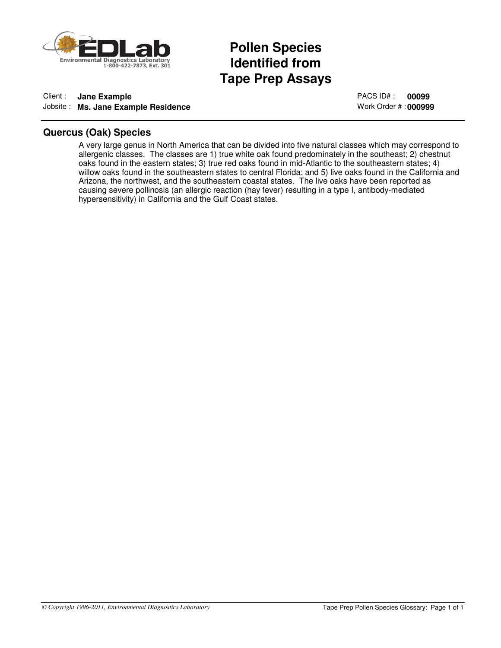

## Pollen Species<br>Identified from<br>Tape Prep Assays **Pollen Species Identified from**

### Client : **Jane Example** Jobsite : **Ms. Jane Example Residence**

PACS ID# : **00099** Work Order # : **000999**

### **Quercus (Oak) Species**

A very large genus in North America that can be divided into five natural classes which may correspond to allergenic classes. The classes are 1) true white oak found predominately in the southeast; 2) chestnut oaks found in the eastern states; 3) true red oaks found in mid-Atlantic to the southeastern states; 4) willow oaks found in the southeastern states to central Florida; and 5) live oaks found in the California and Arizona, the northwest, and the southeastern coastal states. The live oaks have been reported as causing severe pollinosis (an allergic reaction (hay fever) resulting in a type I, antibody-mediated hypersensitivity) in California and the Gulf Coast states.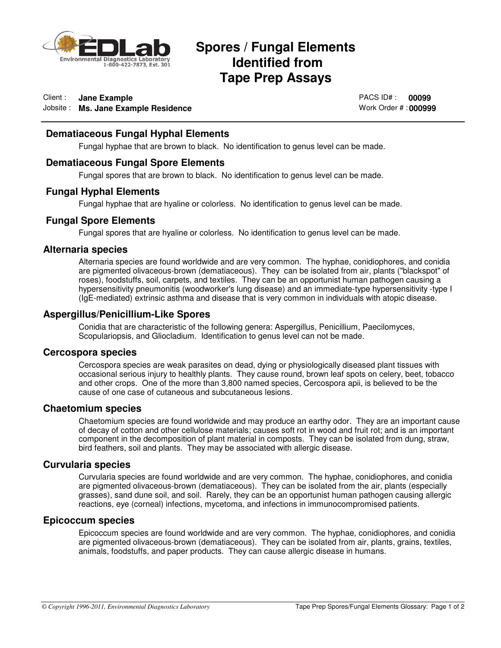

## **Spores / Fungal Elements<br>Identified from<br>Tape Prep Assays Identified from Tape Prep Assays**

### Client : **Jane Example** Jobsite : **Ms. Jane Example Residence**

PACS ID# : **00099** Work Order # : **000999**

### **Dematiaceous Fungal Hyphal Elements**

Fungal hyphae that are brown to black. No identification to genus level can be made.

### **Dematiaceous Fungal Spore Elements**

Fungal spores that are brown to black. No identification to genus level can be made.

### **Fungal Hyphal Elements**

Fungal hyphae that are hyaline or colorless. No identification to genus level can be made.

### **Fungal Spore Elements**

Fungal spores that are hyaline or colorless. No identification to genus level can be made.

### **Alternaria species**

Alternaria species are found worldwide and are very common. The hyphae, conidiophores, and conidia are pigmented olivaceous-brown (dematiaceous). They can be isolated from air, plants ("blackspot" of roses), foodstuffs, soil, carpets, and textiles. They can be an opportunist human pathogen causing a hypersensitivity pneumonitis (woodworker's lung disease) and an immediate-type hypersensitivity -type I (IgE-mediated) extrinsic asthma and disease that is very common in individuals with atopic disease.

### **Aspergillus/Penicillium-Like Spores**

Conidia that are characteristic of the following genera: Aspergillus, Penicillium, Paecilomyces, Scopulariopsis, and Gliocladium. Identification to genus level can not be made.

### **Cercospora species**

Cercospora species are weak parasites on dead, dying or physiologically diseased plant tissues with occasional serious injury to healthly plants. They cause round, brown leaf spots on celery, beet, tobacco and other crops. One of the more than 3,800 named species, Cercospora apii, is believed to be the cause of one case of cutaneous and subcutaneous lesions.

### **Chaetomium species**

Chaetomium species are found worldwide and may produce an earthy odor. They are an important cause of decay of cotton and other cellulose materials; causes soft rot in wood and fruit rot; and is an important component in the decomposition of plant material in composts. They can be isolated from dung, straw, bird feathers, soil and plants. They may be associated with allergic disease.

### **Curvularia species**

Curvularia species are found worldwide and are very common. The hyphae, conidiophores, and conidia are pigmented olivaceous-brown (dematiaceous). They can be isolated from the air, plants (especially grasses), sand dune soil, and soil. Rarely, they can be an opportunist human pathogen causing allergic reactions, eye (corneal) infections, mycetoma, and infections in immunocompromised patients.

### **Epicoccum species**

Epicoccum species are found worldwide and are very common. The hyphae, conidiophores, and conidia are pigmented olivaceous-brown (dematiaceous). They can be isolated from air, plants, grains, textiles, animals, foodstuffs, and paper products. They can cause allergic disease in humans.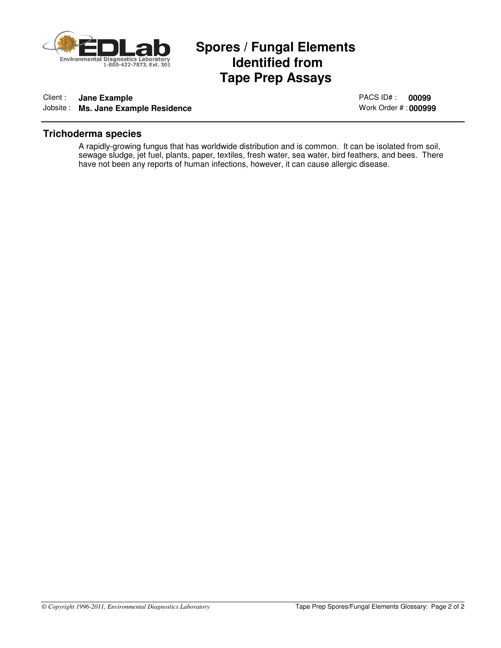

## **Spores / Fungal Elements<br>Identified from<br>Tape Prep Assays Identified from Tape Prep Assays**

### Client : **Jane Example** Jobsite : **Ms. Jane Example Residence**

PACS ID# : **00099** Work Order # : **000999**

### **Trichoderma species**

A rapidly-growing fungus that has worldwide distribution and is common. It can be isolated from soil, sewage sludge, jet fuel, plants, paper, textiles, fresh water, sea water, bird feathers, and bees. There have not been any reports of human infections, however, it can cause allergic disease.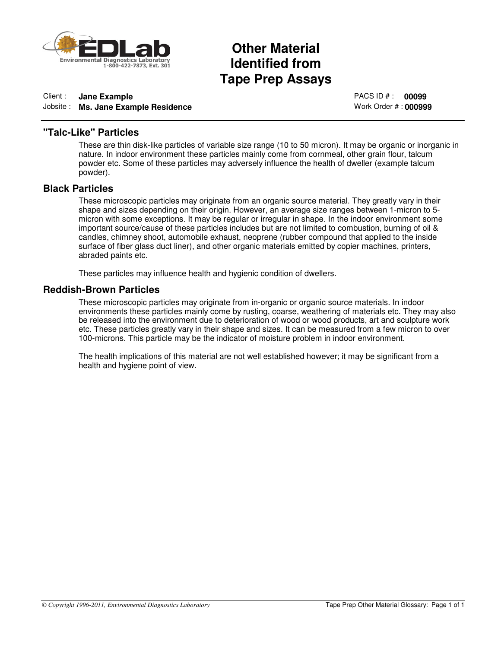

## Other Material<br>Identified from<br>Tape Prep Assays **Other Material Identified from**

### Client : **Jane Example** Jobsite : **Ms. Jane Example Residence**

PACS ID # : **00099** Work Order # : **000999**

### **"Talc-Like" Particles**

These are thin disk-like particles of variable size range (10 to 50 micron). It may be organic or inorganic in nature. In indoor environment these particles mainly come from cornmeal, other grain flour, talcum powder etc. Some of these particles may adversely influence the health of dweller (example talcum powder).

### **Black Particles**

These microscopic particles may originate from an organic source material. They greatly vary in their shape and sizes depending on their origin. However, an average size ranges between 1-micron to 5 micron with some exceptions. It may be regular or irregular in shape. In the indoor environment some important source/cause of these particles includes but are not limited to combustion, burning of oil & candles, chimney shoot, automobile exhaust, neoprene (rubber compound that applied to the inside surface of fiber glass duct liner), and other organic materials emitted by copier machines, printers, abraded paints etc.

These particles may influence health and hygienic condition of dwellers.

### **Reddish-Brown Particles**

These microscopic particles may originate from in-organic or organic source materials. In indoor environments these particles mainly come by rusting, coarse, weathering of materials etc. They may also be released into the environment due to deterioration of wood or wood products, art and sculpture work etc. These particles greatly vary in their shape and sizes. It can be measured from a few micron to over 100-microns. This particle may be the indicator of moisture problem in indoor environment.

The health implications of this material are not well established however; it may be significant from a health and hygiene point of view.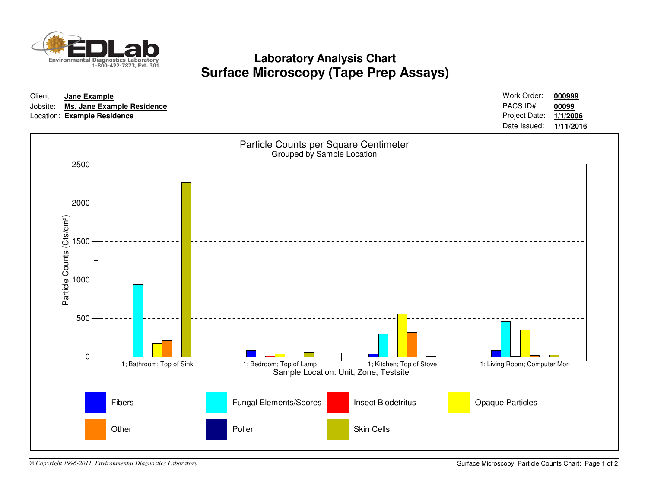

**Laboratory Analysis ChartSurface Microscopy (Tape Prep Assays)**

| Client:<br>Jobsite: | Jane Example<br>Location: Example Residence    | Ms. Jane Example Residence |                                                                     |                                       | Work Order:<br>000999<br>PACS ID#:<br>00099<br>Project Date:<br>1/1/2006<br>Date Issued:<br>1/11/2016 |
|---------------------|------------------------------------------------|----------------------------|---------------------------------------------------------------------|---------------------------------------|-------------------------------------------------------------------------------------------------------|
|                     | 2500                                           |                            | Particle Counts per Square Centimeter<br>Grouped by Sample Location |                                       |                                                                                                       |
|                     | 2000                                           |                            |                                                                     |                                       |                                                                                                       |
|                     | 1500                                           |                            |                                                                     |                                       |                                                                                                       |
|                     | Particle Counts (Cts/cm <sup>2</sup> )<br>1000 |                            |                                                                     |                                       |                                                                                                       |
|                     | 500<br>$0 -$                                   | 1; Bathroom; Top of Sink   | 1; Bedroom; Top of Lamp                                             | 1; Kitchen; Top of Stove              | 1; Living Room; Computer Mon                                                                          |
|                     |                                                |                            |                                                                     | Sample Location: Unit, Zone, Testsite |                                                                                                       |
|                     |                                                | Fibers                     | Fungal Elements/Spores                                              | <b>Insect Biodetritus</b>             | <b>Opaque Particles</b>                                                                               |
|                     |                                                | Other                      | Pollen                                                              | Skin Cells                            |                                                                                                       |

*© Copyright 1996-2011, Environmental Diagnostics Laboratory*

Surface Microscopy: Particle Counts Chart: Page 1 of 2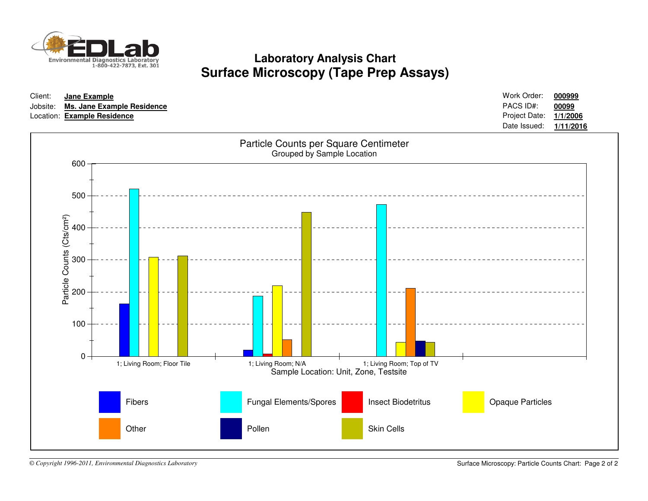

**Laboratory Analysis ChartSurface Microscopy (Tape Prep Assays)**



*© Copyright 1996-2011, Environmental Diagnostics Laboratory*

Surface Microscopy: Particle Counts Chart: Page 2 of 2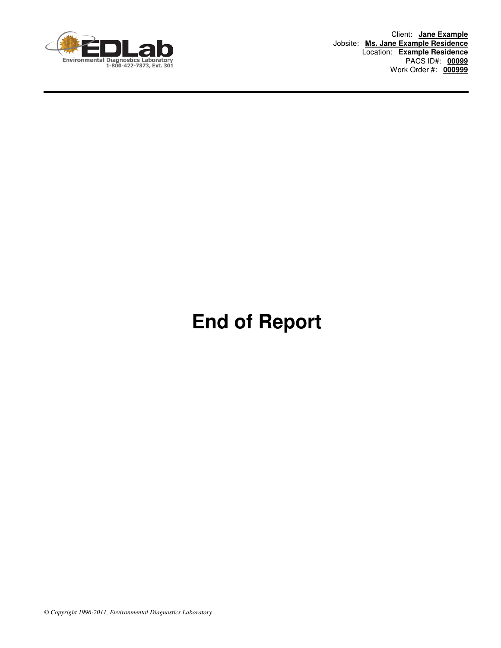

Client: **Jane Example** Jobsite: **Ms. Jane Example Residence** Location: **Example Residence** PACS ID#: **00099** Work Order #: **000999**

## **End of Report**

*© Copyright 1996-2011, Environmental Diagnostics Laboratory*